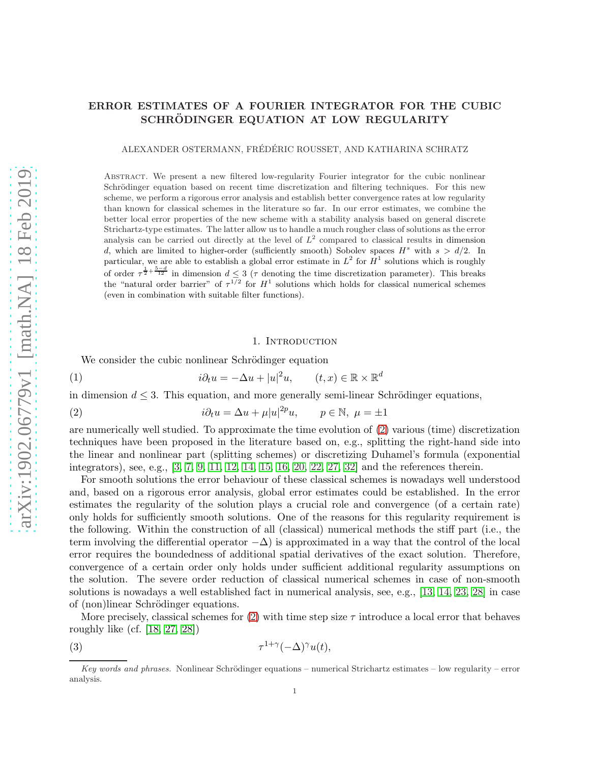# ERROR ESTIMATES OF A FOURIER INTEGRATOR FOR THE CUBIC SCHRÖDINGER EQUATION AT LOW REGULARITY

ALEXANDER OSTERMANN, FRÉDÉRIC ROUSSET, AND KATHARINA SCHRATZ

Abstract. We present a new filtered low-regularity Fourier integrator for the cubic nonlinear Schrödinger equation based on recent time discretization and filtering techniques. For this new scheme, we perform a rigorous error analysis and establish better convergence rates at low regularity than known for classical schemes in the literature so far. In our error estimates, we combine the better local error properties of the new scheme with a stability analysis based on general discrete Strichartz-type estimates. The latter allow us to handle a much rougher class of solutions as the error analysis can be carried out directly at the level of  $L^2$  compared to classical results in dimension d, which are limited to higher-order (sufficiently smooth) Sobolev spaces  $H^s$  with  $s > d/2$ . In particular, we are able to establish a global error estimate in  $L^2$  for  $H^1$  solutions which is roughly of order  $\tau^{\frac{1}{2}+\frac{5-d}{12}}$  in dimension  $d \leq 3$  ( $\tau$  denoting the time discretization parameter). This breaks the "natural order barrier" of  $\tau^{1/2}$  for  $H^1$  solutions which holds for classical numerical schemes (even in combination with suitable filter functions).

#### <span id="page-0-2"></span><span id="page-0-0"></span>1. INTRODUCTION

We consider the cubic nonlinear Schrödinger equation

(1) 
$$
i\partial_t u = -\Delta u + |u|^2 u, \qquad (t, x) \in \mathbb{R} \times \mathbb{R}^d
$$

in dimension  $d \leq 3$ . This equation, and more generally semi-linear Schrödinger equations,

(2) 
$$
i\partial_t u = \Delta u + \mu |u|^{2p} u, \qquad p \in \mathbb{N}, \ \mu = \pm 1
$$

are numerically well studied. To approximate the time evolution of [\(2\)](#page-0-0) various (time) discretization techniques have been proposed in the literature based on, e.g., splitting the right-hand side into the linear and nonlinear part (splitting schemes) or discretizing Duhamel's formula (exponential integrators), see, e.g., [\[3,](#page-27-0) [7,](#page-28-0) [9,](#page-28-1) [11,](#page-28-2) [12,](#page-28-3) [14,](#page-28-4) [15,](#page-28-5) [16,](#page-28-6) [20,](#page-28-7) [22,](#page-28-8) [27,](#page-28-9) [32\]](#page-28-10) and the references therein.

For smooth solutions the error behaviour of these classical schemes is nowadays well understood and, based on a rigorous error analysis, global error estimates could be established. In the error estimates the regularity of the solution plays a crucial role and convergence (of a certain rate) only holds for sufficiently smooth solutions. One of the reasons for this regularity requirement is the following. Within the construction of all (classical) numerical methods the stiff part (i.e., the term involving the differential operator  $-\Delta$ ) is approximated in a way that the control of the local error requires the boundedness of additional spatial derivatives of the exact solution. Therefore, convergence of a certain order only holds under sufficient additional regularity assumptions on the solution. The severe order reduction of classical numerical schemes in case of non-smooth solutions is nowadays a well established fact in numerical analysis, see, e.g., [\[13,](#page-28-11) [14,](#page-28-4) [23,](#page-28-12) [28\]](#page-28-13) in case of (non)linear Schrödinger equations.

More precisely, classical schemes for  $(2)$  with time step size  $\tau$  introduce a local error that behaves roughly like (cf. [\[18,](#page-28-14) [27,](#page-28-9) [28\]](#page-28-13))

<span id="page-0-1"></span>(3) τ 1+γ (−∆)γu(t),

*Key words and phrases.* Nonlinear Schrödinger equations – numerical Strichartz estimates – low regularity – error analysis.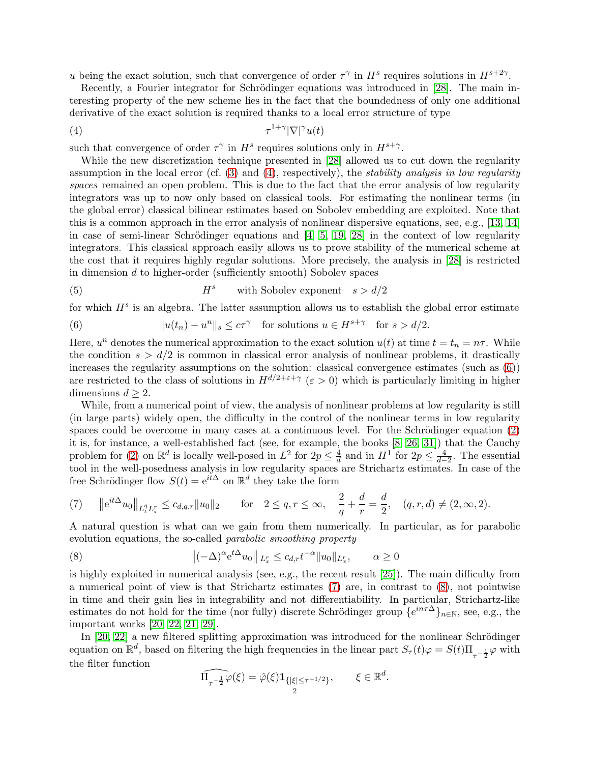u being the exact solution, such that convergence of order  $\tau^{\gamma}$  in  $H^s$  requires solutions in  $H^{s+2\gamma}$ .

Recently, a Fourier integrator for Schrödinger equations was introduced in [\[28\]](#page-28-13). The main interesting property of the new scheme lies in the fact that the boundedness of only one additional derivative of the exact solution is required thanks to a local error structure of type

<span id="page-1-0"></span>
$$
\tau^{1+\gamma} |\nabla|^{\gamma} u(t)
$$

such that convergence of order  $\tau^{\gamma}$  in  $H^s$  requires solutions only in  $H^{s+\gamma}$ .

While the new discretization technique presented in [\[28\]](#page-28-13) allowed us to cut down the regularity assumption in the local error (cf. [\(3\)](#page-0-1) and [\(4\)](#page-1-0), respectively), the *stability analysis in low regularity spaces* remained an open problem. This is due to the fact that the error analysis of low regularity integrators was up to now only based on classical tools. For estimating the nonlinear terms (in the global error) classical bilinear estimates based on Sobolev embedding are exploited. Note that this is a common approach in the error analysis of nonlinear dispersive equations, see, e.g., [\[13,](#page-28-11) [14\]](#page-28-4) in case of semi-linear Schrödinger equations and  $[4, 5, 19, 28]$  $[4, 5, 19, 28]$  $[4, 5, 19, 28]$  $[4, 5, 19, 28]$  $[4, 5, 19, 28]$  in the context of low regularity integrators. This classical approach easily allows us to prove stability of the numerical scheme at the cost that it requires highly regular solutions. More precisely, the analysis in [\[28\]](#page-28-13) is restricted in dimension d to higher-order (sufficiently smooth) Sobolev spaces

(5) 
$$
H^s
$$
 with Sobolev exponent  $s > d/2$ 

for which  $H<sup>s</sup>$  is an algebra. The latter assumption allows us to establish the global error estimate

<span id="page-1-1"></span>(6) 
$$
||u(t_n) - u^n||_s \leq c\tau^{\gamma} \text{ for solutions } u \in H^{s+\gamma} \text{ for } s > d/2.
$$

Here,  $u^n$  denotes the numerical approximation to the exact solution  $u(t)$  at time  $t = t_n = n\tau$ . While the condition  $s > d/2$  is common in classical error analysis of nonlinear problems, it drastically increases the regularity assumptions on the solution: classical convergence estimates (such as  $(6)$ ) are restricted to the class of solutions in  $H^{d/2+\epsilon+\gamma}$  ( $\epsilon > 0$ ) which is particularly limiting in higher dimensions  $d \geq 2$ .

While, from a numerical point of view, the analysis of nonlinear problems at low regularity is still (in large parts) widely open, the difficulty in the control of the nonlinear terms in low regularity spaces could be overcome in many cases at a continuous level. For the Schrödinger equation  $(2)$ it is, for instance, a well-established fact (see, for example, the books [\[8,](#page-28-16) [26,](#page-28-17) [31\]](#page-28-18)) that the Cauchy problem for [\(2\)](#page-0-0) on  $\mathbb{R}^d$  is locally well-posed in  $L^2$  for  $2p \leq \frac{4}{d}$  $\frac{4}{d}$  and in  $H^1$  for  $2p \leq \frac{4}{d-1}$  $\frac{4}{d-2}$ . The essential tool in the well-posedness analysis in low regularity spaces are Strichartz estimates. In case of the free Schrödinger flow  $S(t) = e^{it\Delta}$  on  $\mathbb{R}^d$  they take the form

<span id="page-1-2"></span>(7) 
$$
||e^{it\Delta}u_0||_{L_t^q L_x^r} \leq c_{d,q,r}||u_0||_2
$$
 for  $2 \leq q, r \leq \infty$ ,  $\frac{2}{q} + \frac{d}{r} = \frac{d}{2}$ ,  $(q, r, d) \neq (2, \infty, 2)$ .

A natural question is what can we gain from them numerically. In particular, as for parabolic evolution equations, the so-called *parabolic smoothing property*

<span id="page-1-3"></span>(8) 
$$
\|(-\Delta)^{\alpha} e^{t\Delta} u_0\|_{L_x^r} \leq c_{d,r} t^{-\alpha} \|u_0\|_{L_x^r}, \qquad \alpha \geq 0
$$

is highly exploited in numerical analysis (see, e.g., the recent result [\[25\]](#page-28-19)). The main difficulty from a numerical point of view is that Strichartz estimates [\(7\)](#page-1-2) are, in contrast to [\(8\)](#page-1-3), not pointwise in time and their gain lies in integrability and not differentiability. In particular, Strichartz-like estimates do not hold for the time (nor fully) discrete Schrödinger group  $\{e^{in\tau\Delta}\}_{n\in\mathbb{N}}$ , see, e.g., the important works [\[20,](#page-28-7) [22,](#page-28-8) [21,](#page-28-20) [29\]](#page-28-21).

In  $[20, 22]$  $[20, 22]$  a new filtered splitting approximation was introduced for the nonlinear Schrödinger equation on  $\mathbb{R}^d$ , based on filtering the high frequencies in the linear part  $S_\tau(t)\varphi = S(t)\Pi_{\tau^{-\frac{1}{2}}}\varphi$  with the filter function

$$
\widehat{\Pi_{\tau^{-\frac{1}{2}}}\varphi}(\xi) = \hat{\varphi}(\xi) \mathbf{1}_{\{|\xi| \leq \tau^{-1/2}\}}, \qquad \xi \in \mathbb{R}^d.
$$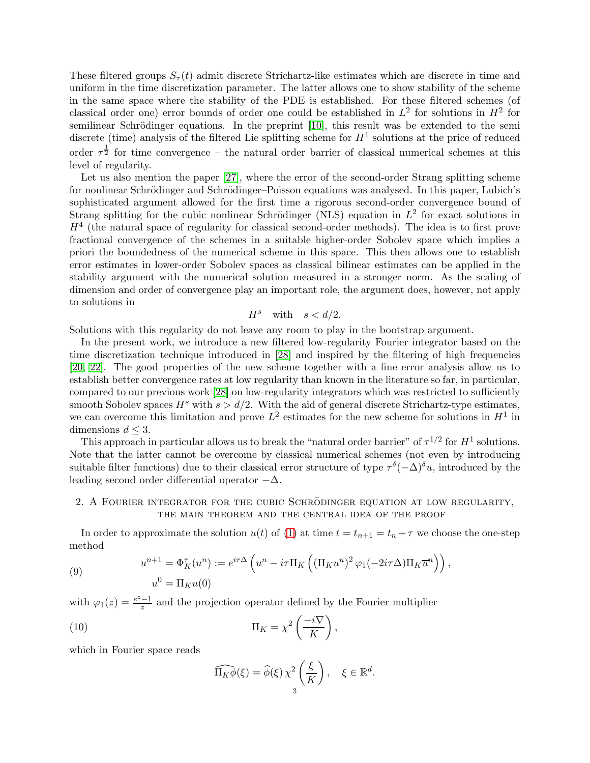These filtered groups  $S_{\tau}(t)$  admit discrete Strichartz-like estimates which are discrete in time and uniform in the time discretization parameter. The latter allows one to show stability of the scheme in the same space where the stability of the PDE is established. For these filtered schemes (of classical order one) error bounds of order one could be established in  $L^2$  for solutions in  $H^2$  for semilinear Schrödinger equations. In the preprint [\[10\]](#page-28-22), this result was be extended to the semi discrete (time) analysis of the filtered Lie splitting scheme for  $H^1$  solutions at the price of reduced order  $\tau^{\frac{1}{2}}$  for time convergence – the natural order barrier of classical numerical schemes at this level of regularity.

Let us also mention the paper [\[27\]](#page-28-9), where the error of the second-order Strang splitting scheme for nonlinear Schrödinger and Schrödinger–Poisson equations was analysed. In this paper, Lubich's sophisticated argument allowed for the first time a rigorous second-order convergence bound of Strang splitting for the cubic nonlinear Schrödinger (NLS) equation in  $L^2$  for exact solutions in  $H<sup>4</sup>$  (the natural space of regularity for classical second-order methods). The idea is to first prove fractional convergence of the schemes in a suitable higher-order Sobolev space which implies a priori the boundedness of the numerical scheme in this space. This then allows one to establish error estimates in lower-order Sobolev spaces as classical bilinear estimates can be applied in the stability argument with the numerical solution measured in a stronger norm. As the scaling of dimension and order of convergence play an important role, the argument does, however, not apply to solutions in

$$
H^s \quad \text{with} \quad s < d/2.
$$

Solutions with this regularity do not leave any room to play in the bootstrap argument.

In the present work, we introduce a new filtered low-regularity Fourier integrator based on the time discretization technique introduced in [\[28\]](#page-28-13) and inspired by the filtering of high frequencies [\[20,](#page-28-7) [22\]](#page-28-8). The good properties of the new scheme together with a fine error analysis allow us to establish better convergence rates at low regularity than known in the literature so far, in particular, compared to our previous work [\[28\]](#page-28-13) on low-regularity integrators which was restricted to sufficiently smooth Sobolev spaces  $H^s$  with  $s > d/2$ . With the aid of general discrete Strichartz-type estimates, we can overcome this limitation and prove  $L^2$  estimates for the new scheme for solutions in  $H^1$  in dimensions  $d \leq 3$ .

This approach in particular allows us to break the "natural order barrier" of  $\tau^{1/2}$  for  $H^1$  solutions. Note that the latter cannot be overcome by classical numerical schemes (not even by introducing suitable filter functions) due to their classical error structure of type  $\tau^{\delta}(-\Delta)^{\delta}u$ , introduced by the leading second order differential operator  $-\Delta$ .

## 2. A FOURIER INTEGRATOR FOR THE CUBIC SCHRÖDINGER EQUATION AT LOW REGULARITY, the main theorem and the central idea of the proof

In order to approximate the solution  $u(t)$  of [\(1\)](#page-0-2) at time  $t = t_{n+1} = t_n + \tau$  we choose the one-step method

<span id="page-2-0"></span>(9) 
$$
u^{n+1} = \Phi_K^{\tau}(u^n) := e^{i\tau \Delta} \left( u^n - i\tau \Pi_K \left( (\Pi_K u^n)^2 \varphi_1(-2i\tau \Delta) \Pi_K \overline{u}^n \right) \right),
$$

$$
u^0 = \Pi_K u(0)
$$

with  $\varphi_1(z) = \frac{e^z - 1}{z}$  $\frac{-1}{z}$  and the projection operator defined by the Fourier multiplier

(10) 
$$
\Pi_K = \chi^2 \left( \frac{-i \nabla}{K} \right),
$$

which in Fourier space reads

<span id="page-2-1"></span>
$$
\widehat{\Pi_K \phi}(\xi) = \widehat{\phi}(\xi) \chi^2 \left(\frac{\xi}{K}\right), \quad \xi \in \mathbb{R}^d.
$$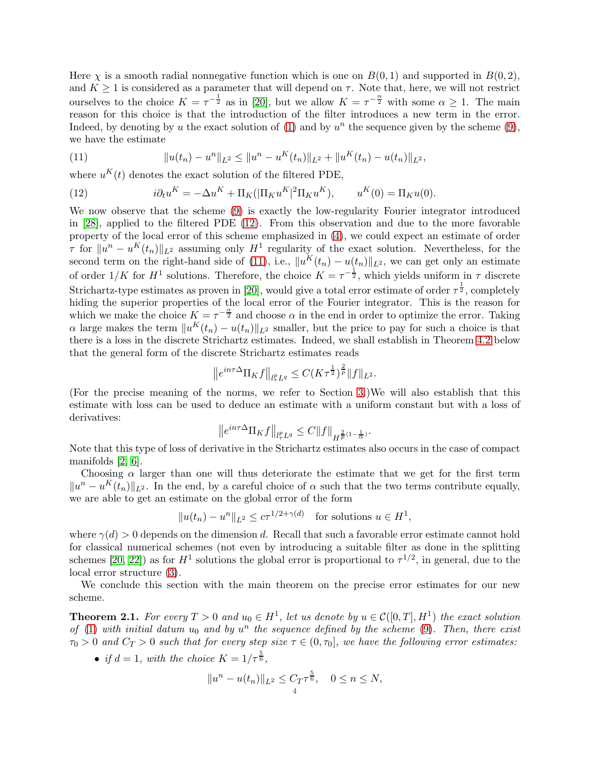Here  $\chi$  is a smooth radial nonnegative function which is one on  $B(0, 1)$  and supported in  $B(0, 2)$ , and  $K \geq 1$  is considered as a parameter that will depend on  $\tau$ . Note that, here, we will not restrict ourselves to the choice  $K = \tau^{-\frac{1}{2}}$  as in [\[20\]](#page-28-7), but we allow  $K = \tau^{-\frac{\alpha}{2}}$  with some  $\alpha \geq 1$ . The main reason for this choice is that the introduction of the filter introduces a new term in the error. Indeed, by denoting by u the exact solution of  $(1)$  and by  $u<sup>n</sup>$  the sequence given by the scheme  $(9)$ , we have the estimate

<span id="page-3-1"></span>(11) 
$$
||u(t_n) - u^n||_{L^2} \le ||u^n - u^K(t_n)||_{L^2} + ||u^K(t_n) - u(t_n)||_{L^2},
$$

where  $u^{K}(t)$  denotes the exact solution of the filtered PDE,

<span id="page-3-0"></span>(12) 
$$
i\partial_t u^K = -\Delta u^K + \Pi_K(|\Pi_K u^K|^2 \Pi_K u^K), \qquad u^K(0) = \Pi_K u(0).
$$

We now observe that the scheme [\(9\)](#page-2-0) is exactly the low-regularity Fourier integrator introduced in [\[28\]](#page-28-13), applied to the filtered PDE [\(12\)](#page-3-0). From this observation and due to the more favorable property of the local error of this scheme emphasized in [\(4\)](#page-1-0), we could expect an estimate of order  $\tau$  for  $||u^n - u^K(t_n)||_{L^2}$  assuming only  $H^1$  regularity of the exact solution. Nevertheless, for the second term on the right-hand side of [\(11\)](#page-3-1), i.e.,  $||u^K(t_n) - u(t_n)||_{L^2}$ , we can get only an estimate of order  $1/K$  for  $H^1$  solutions. Therefore, the choice  $K = \tau^{-\frac{1}{2}}$ , which yields uniform in  $\tau$  discrete Strichartz-type estimates as proven in [\[20\]](#page-28-7), would give a total error estimate of order  $\tau^{\frac{1}{2}}$ , completely hiding the superior properties of the local error of the Fourier integrator. This is the reason for which we make the choice  $K = \tau^{-\frac{\alpha}{2}}$  and choose  $\alpha$  in the end in order to optimize the error. Taking  $\alpha$  large makes the term  $||u^K(t_n) - u(t_n)||_{L^2}$  smaller, but the price to pay for such a choice is that there is a loss in the discrete Strichartz estimates. Indeed, we shall establish in Theorem [4.2](#page-6-0) below that the general form of the discrete Strichartz estimates reads

$$
||e^{in\tau \Delta} \Pi_K f||_{l^p_{\tau}L^q} \leq C(K\tau^{\frac{1}{2}})^{\frac{2}{p}} ||f||_{L^2}.
$$

(For the precise meaning of the norms, we refer to Section [3.](#page-4-0))We will also establish that this estimate with loss can be used to deduce an estimate with a uniform constant but with a loss of derivatives:

$$
\big\|e^{in\tau\Delta}\Pi_{K}f\big\|_{l_{\tau}^{p}L^{q}}\leq C\|f\|_{H^{\frac{2}{p}(1-\frac{1}{\alpha})}}.
$$

Note that this type of loss of derivative in the Strichartz estimates also occurs in the case of compact manifolds [\[2,](#page-27-3) [6\]](#page-27-4).

Choosing  $\alpha$  larger than one will thus deteriorate the estimate that we get for the first term  $||u^n - u^K(t_n)||_{L^2}$ . In the end, by a careful choice of  $\alpha$  such that the two terms contribute equally, we are able to get an estimate on the global error of the form

$$
||u(t_n) - u^n||_{L^2} \le c\tau^{1/2 + \gamma(d)} \quad \text{for solutions } u \in H^1,
$$

where  $\gamma(d) > 0$  depends on the dimension d. Recall that such a favorable error estimate cannot hold for classical numerical schemes (not even by introducing a suitable filter as done in the splitting schemes [\[20,](#page-28-7) [22\]](#page-28-8)) as for  $H^1$  solutions the global error is proportional to  $\tau^{1/2}$ , in general, due to the local error structure [\(3\)](#page-0-1).

We conclude this section with the main theorem on the precise error estimates for our new scheme.

<span id="page-3-2"></span>**Theorem 2.1.** For every  $T > 0$  and  $u_0 \in H^1$ , let us denote by  $u \in \mathcal{C}([0,T], H^1)$  the exact solution *of* [\(1\)](#page-0-2) with initial datum  $u_0$  and by  $u^n$  the sequence defined by the scheme [\(9\)](#page-2-0). Then, there exist  $\tau_0 > 0$  and  $C_T > 0$  such that for every step size  $\tau \in (0, \tau_0]$ , we have the following error estimates:

• *if*  $d = 1$ *, with the choice*  $K = 1/\tau^{\frac{5}{6}}$ *,* 

$$
||u^{n} - u(t_{n})||_{L^{2}} \leq C_{T} \tau^{\frac{5}{6}}, \quad 0 \leq n \leq N,
$$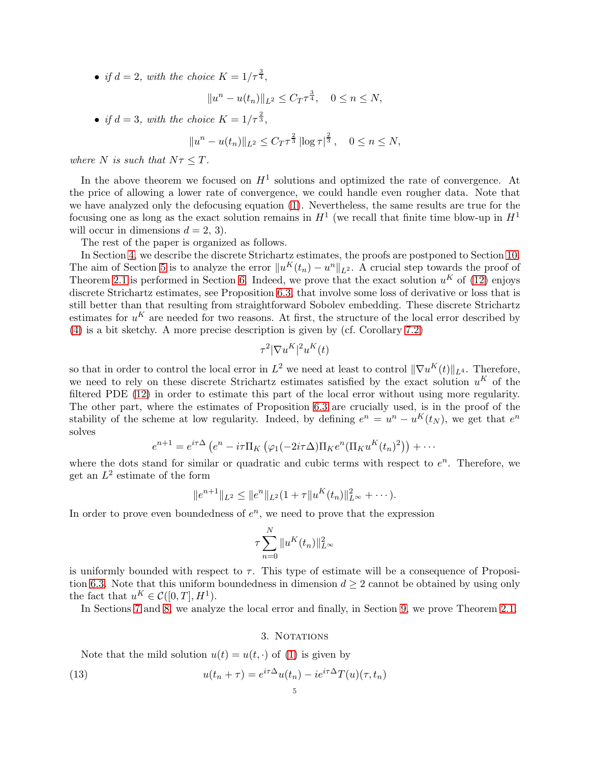• *if*  $d = 2$ , with the choice  $K = 1/\tau^{\frac{3}{4}}$ ,

$$
||u^{n} - u(t_{n})||_{L^{2}} \leq C_{T}\tau^{\frac{3}{4}}, \quad 0 \leq n \leq N,
$$

• *if*  $d = 3$ , *with the choice*  $K = 1/\tau^{\frac{2}{3}}$ ,

$$
||u^{n} - u(t_{n})||_{L^{2}} \leq C_{T} \tau^{\frac{2}{3}} \left| \log \tau \right|^{\frac{2}{3}}, \quad 0 \leq n \leq N,
$$

*where* N *is such that*  $N\tau \leq T$ *.* 

In the above theorem we focused on  $H^1$  solutions and optimized the rate of convergence. At the price of allowing a lower rate of convergence, we could handle even rougher data. Note that we have analyzed only the defocusing equation [\(1\)](#page-0-2). Nevertheless, the same results are true for the focusing one as long as the exact solution remains in  $H^1$  (we recall that finite time blow-up in  $H^1$ will occur in dimensions  $d = 2, 3$ .

The rest of the paper is organized as follows.

In Section [4,](#page-5-0) we describe the discrete Strichartz estimates, the proofs are postponed to Section [10.](#page-23-0) The aim of Section [5](#page-6-1) is to analyze the error  $||u^K(t_n) - u^n||_{L^2}$ . A crucial step towards the proof of Theorem [2.1](#page-3-2) is performed in Section [6.](#page-8-0) Indeed, we prove that the exact solution  $u<sup>K</sup>$  of [\(12\)](#page-3-0) enjoys discrete Strichartz estimates, see Proposition [6.3,](#page-9-0) that involve some loss of derivative or loss that is still better than that resulting from straightforward Sobolev embedding. These discrete Strichartz estimates for  $u^K$  are needed for two reasons. At first, the structure of the local error described by [\(4\)](#page-1-0) is a bit sketchy. A more precise description is given by (cf. Corollary [7.2\)](#page-14-0)

$$
\tau^2 |\nabla u^K|^2 u^K(t)
$$

so that in order to control the local error in  $L^2$  we need at least to control  $\|\nabla u^K(t)\|_{L^4}$ . Therefore, we need to rely on these discrete Strichartz estimates satisfied by the exact solution  $u^K$  of the filtered PDE [\(12\)](#page-3-0) in order to estimate this part of the local error without using more regularity. The other part, where the estimates of Proposition [6.3](#page-9-0) are crucially used, is in the proof of the stability of the scheme at low regularity. Indeed, by defining  $e^n = u^n - u^K(t_N)$ , we get that  $e^n$ solves

$$
e^{n+1} = e^{i\tau\Delta} \left( e^n - i\tau \Pi_K \left( \varphi_1(-2i\tau\Delta) \Pi_K e^n (\Pi_K u^K(t_n)^2) \right) + \cdots \right)
$$

where the dots stand for similar or quadratic and cubic terms with respect to  $e^n$ . Therefore, we get an  $L^2$  estimate of the form

$$
||e^{n+1}||_{L^2} \leq ||e^n||_{L^2}(1+\tau||u^K(t_n)||_{L^{\infty}}^2+\cdots).
$$

In order to prove even boundedness of  $e^n$ , we need to prove that the expression

$$
\tau \sum_{n=0}^{N} \|u^K(t_n)\|_{L^\infty}^2
$$

is uniformly bounded with respect to  $\tau$ . This type of estimate will be a consequence of Proposi-tion [6.3.](#page-9-0) Note that this uniform boundedness in dimension  $d \geq 2$  cannot be obtained by using only the fact that  $u^K \in \mathcal{C}([0,T], H^1)$ .

<span id="page-4-0"></span>In Sections [7](#page-12-0) and [8,](#page-14-1) we analyze the local error and finally, in Section [9,](#page-18-0) we prove Theorem [2.1.](#page-3-2)

## 3. NOTATIONS

Note that the mild solution  $u(t) = u(t, \cdot)$  of [\(1\)](#page-0-2) is given by

(13) 
$$
u(t_n + \tau) = e^{i\tau \Delta} u(t_n) - i e^{i\tau \Delta} T(u)(\tau, t_n)
$$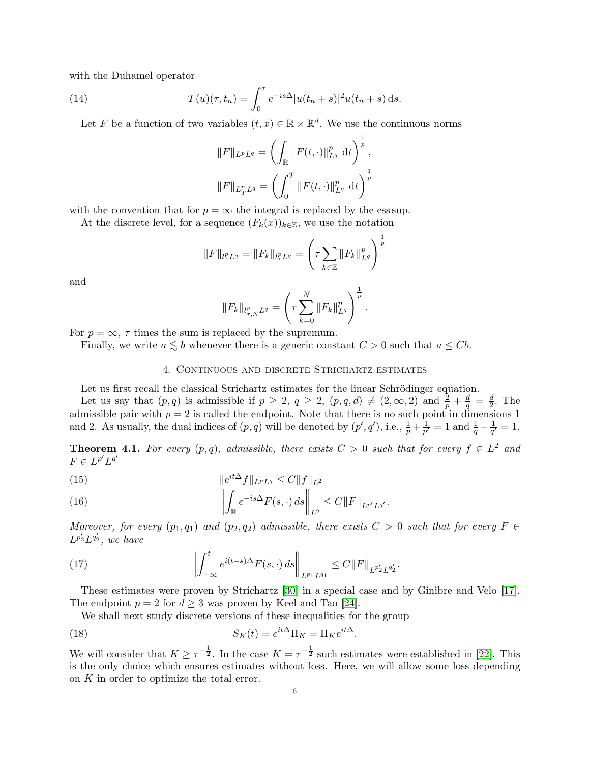with the Duhamel operator

(14) 
$$
T(u)(\tau, t_n) = \int_0^{\tau} e^{-is\Delta} |u(t_n + s)|^2 u(t_n + s) ds.
$$

Let F be a function of two variables  $(t, x) \in \mathbb{R} \times \mathbb{R}^d$ . We use the continuous norms

$$
||F||_{L^pL^q} = \left(\int_{\mathbb{R}} ||F(t, \cdot)||_{L^q}^p dt\right)^{\frac{1}{p}},
$$
  

$$
||F||_{L^p_TL^q} = \left(\int_0^T ||F(t, \cdot)||_{L^q}^p dt\right)^{\frac{1}{p}}
$$

with the convention that for  $p = \infty$  the integral is replaced by the ess sup.

At the discrete level, for a sequence  $(F_k(x))_{k\in\mathbb{Z}}$ , we use the notation

$$
||F||_{l_T^p L^q} = ||F_k||_{l_T^p L^q} = \left(\tau \sum_{k \in \mathbb{Z}} ||F_k||_{L^q}^p\right)^{\frac{1}{p}}
$$

and

$$
||F_k||_{l^p_{\tau,N}L^q} = \left(\tau \sum_{k=0}^N ||F_k||_{L^q}^p\right)^{\frac{1}{p}}.
$$

For  $p = \infty$ ,  $\tau$  times the sum is replaced by the supremum.

<span id="page-5-0"></span>Finally, we write  $a \lesssim b$  whenever there is a generic constant  $C > 0$  such that  $a \leq Cb$ .

### 4. Continuous and discrete Strichartz estimates

Let us first recall the classical Strichartz estimates for the linear Schrödinger equation.

Let us say that  $(p,q)$  is admissible if  $p \geq 2$ ,  $q \geq 2$ ,  $(p,q,d) \neq (2,\infty,2)$  and  $\frac{2}{p} + \frac{d}{q} = \frac{d}{2}$  $\frac{d}{2}$ . The admissible pair with  $p = 2$  is called the endpoint. Note that there is no such point in dimensions 1 and 2. As usually, the dual indices of  $(p, q)$  will be denoted by  $(p', q')$ , i.e.,  $\frac{1}{p} + \frac{1}{p'}$  $\frac{1}{p'} = 1$  and  $\frac{1}{q} + \frac{1}{q'}$  $\frac{1}{q'}=1.$ 

**Theorem 4.1.** For every  $(p,q)$ , admissible, there exists  $C > 0$  such that for every  $f \in L^2$  and  $F \in L^{p'}L^{q'}$ 

(15) 
$$
\|e^{it\Delta} f\|_{L^p L^q} \le C \|f\|_{L^2}
$$

(16) 
$$
\left\| \int_{\mathbb{R}} e^{-is\Delta} F(s, \cdot) ds \right\|_{L^2} \leq C \|F\|_{L^{p'}L^{q'}}.
$$

*Moreover, for every*  $(p_1, q_1)$  *and*  $(p_2, q_2)$  *admissible, there exists*  $C > 0$  *such that for every*  $F \in$  $L^{p'_2}L^{q'_2}$ , we have

(17) 
$$
\left\| \int_{-\infty}^t e^{i(t-s)\Delta} F(s, \cdot) ds \right\|_{L^{p_1} L^{q_1}} \leq C \|F\|_{L^{p'_2} L^{q'_2}}.
$$

These estimates were proven by Strichartz [\[30\]](#page-28-23) in a special case and by Ginibre and Velo [\[17\]](#page-28-24). The endpoint  $p = 2$  for  $d \geq 3$  was proven by Keel and Tao [\[24\]](#page-28-25).

<span id="page-5-1"></span>We shall next study discrete versions of these inequalities for the group

(18) 
$$
S_K(t) = e^{it\Delta} \Pi_K = \Pi_K e^{it\Delta}.
$$

We will consider that  $K \geq \tau^{-\frac{1}{2}}$ . In the case  $K = \tau^{-\frac{1}{2}}$  such estimates were established in [\[22\]](#page-28-8). This is the only choice which ensures estimates without loss. Here, we will allow some loss depending on K in order to optimize the total error.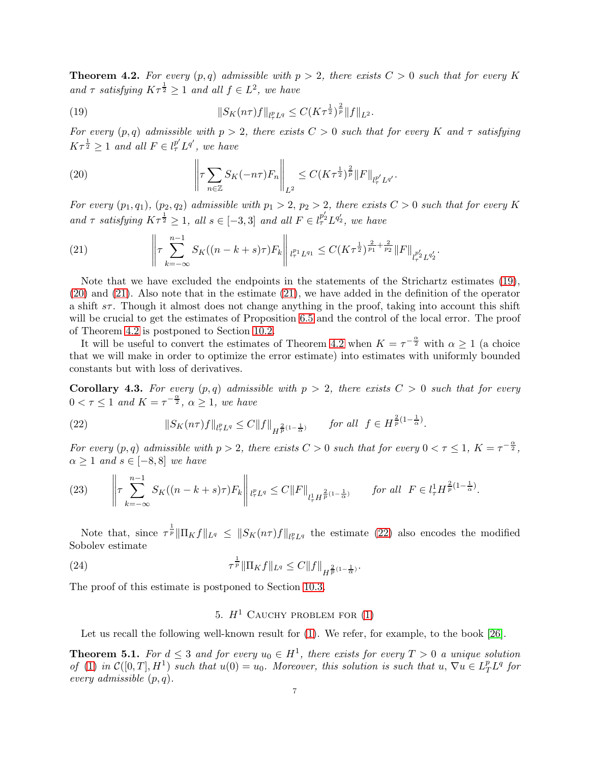<span id="page-6-0"></span>**Theorem 4.2.** For every  $(p,q)$  admissible with  $p > 2$ , there exists  $C > 0$  such that for every K and  $\tau$  *satisfying*  $K\tau^{\frac{1}{2}} \geq 1$  *and all*  $f \in L^2$ *, we have* 

<span id="page-6-2"></span>(19) 
$$
||S_K(n\tau)f||_{l^p_{\tau}L^q} \leq C(K\tau^{\frac{1}{2}})^{\frac{2}{p}}||f||_{L^2}.
$$

*For every*  $(p, q)$  *admissible with*  $p > 2$ *, there exists*  $C > 0$  *such that for every* K *and*  $\tau$  *satisfying*  $K\tau^{\frac{1}{2}} \geq 1$  and all  $F \in l_{\tau}^{p'} L^{q'}$ , we have

<span id="page-6-3"></span>(20) 
$$
\left\| \tau \sum_{n \in \mathbb{Z}} S_K(-n\tau) F_n \right\|_{L^2} \leq C (K \tau^{\frac{1}{2}})^{\frac{2}{p}} \|F\|_{l^p_\tau' L^{q'}}.
$$

*For every*  $(p_1, q_1)$ ,  $(p_2, q_2)$  *admissible with*  $p_1 > 2$ ,  $p_2 > 2$ , *there exists*  $C > 0$  *such that for every* K and  $\tau$  satisfying  $K\tau^{\frac{1}{2}} \geq 1$ , all  $s \in [-3,3]$  and all  $F \in l_{\tau}^{p_2'} L^{q_2'}$ , we have

.

<span id="page-6-4"></span>(21) 
$$
\left\| \tau \sum_{k=-\infty}^{n-1} S_K((n-k+s)\tau) F_k \right\|_{l_{\tau}^{p_1} L^{q_1}} \leq C(K\tau^{\frac{1}{2}})^{\frac{2}{p_1} + \frac{2}{p_2}} \|F\|_{l_{\tau}^{p_2'} L^{q_2'}}
$$

Note that we have excluded the endpoints in the statements of the Strichartz estimates [\(19\)](#page-6-2), [\(20\)](#page-6-3) and [\(21\)](#page-6-4). Also note that in the estimate [\(21\)](#page-6-4), we have added in the definition of the operator a shift  $s\tau$ . Though it almost does not change anything in the proof, taking into account this shift will be crucial to get the estimates of Proposition [6.5](#page-11-0) and the control of the local error. The proof of Theorem [4.2](#page-6-0) is postponed to Section [10.2.](#page-24-0)

It will be useful to convert the estimates of Theorem [4.2](#page-6-0) when  $K = \tau^{-\frac{\alpha}{2}}$  with  $\alpha \geq 1$  (a choice that we will make in order to optimize the error estimate) into estimates with uniformly bounded constants but with loss of derivatives.

<span id="page-6-8"></span>**Corollary 4.3.** For every  $(p,q)$  admissible with  $p > 2$ , there exists  $C > 0$  such that for every  $0 < \tau \leq 1$  and  $K = \tau^{-\frac{\alpha}{2}}, \alpha \geq 1$ , we have

<span id="page-6-5"></span>(22) 
$$
||S_K(n\tau)f||_{l^p_{\tau}L^q} \leq C||f||_{H^{\frac{2}{p}(1-\frac{1}{\alpha})}} \quad \text{for all } f \in H^{\frac{2}{p}(1-\frac{1}{\alpha})}.
$$

*For every*  $(p, q)$  *admissible with*  $p > 2$ *, there exists*  $C > 0$  *such that for every*  $0 < \tau \leq 1$ *,*  $K = \tau^{-\frac{\alpha}{2}}$ *,*  $\alpha \geq 1$  *and*  $s \in [-8, 8]$  *we have* 

<span id="page-6-9"></span>(23) 
$$
\left\| \tau \sum_{k=-\infty}^{n-1} S_K((n-k+s)\tau) F_k \right\|_{l^p_\tau L^q} \leq C \|F\|_{l^1_\tau H^{\frac{2}{p}(1-\frac{1}{\alpha})}} \quad \text{for all } F \in l^1_\tau H^{\frac{2}{p}(1-\frac{1}{\alpha})}.
$$

Note that, since  $\tau^{\frac{1}{p}}\|\Pi_K f\|_{L^q} \leq ||S_K(n\tau)f||_{l^p_\tau L^q}$  the estimate [\(22\)](#page-6-5) also encodes the modified Sobolev estimate

(24) 
$$
\tau^{\frac{1}{p}} \|\Pi_K f\|_{L^q} \leq C \|f\|_{H^{\frac{2}{p}(1-\frac{1}{\alpha})}}.
$$

<span id="page-6-1"></span>The proof of this estimate is postponed to Section [10.3.](#page-24-1)

# <span id="page-6-7"></span>5.  $H^1$  CAUCHY PROBLEM FOR [\(1\)](#page-0-2)

Let us recall the following well-known result for  $(1)$ . We refer, for example, to the book [\[26\]](#page-28-17).

<span id="page-6-6"></span>**Theorem 5.1.** For  $d \leq 3$  and for every  $u_0 \in H^1$ , there exists for every  $T > 0$  a unique solution of [\(1\)](#page-0-2) in  $\mathcal{C}([0,T], H^1)$  *such that*  $u(0) = u_0$ . Moreover, this solution is such that  $u, \nabla u \in L_T^p L^q$  for *every admissible* (p, q)*.*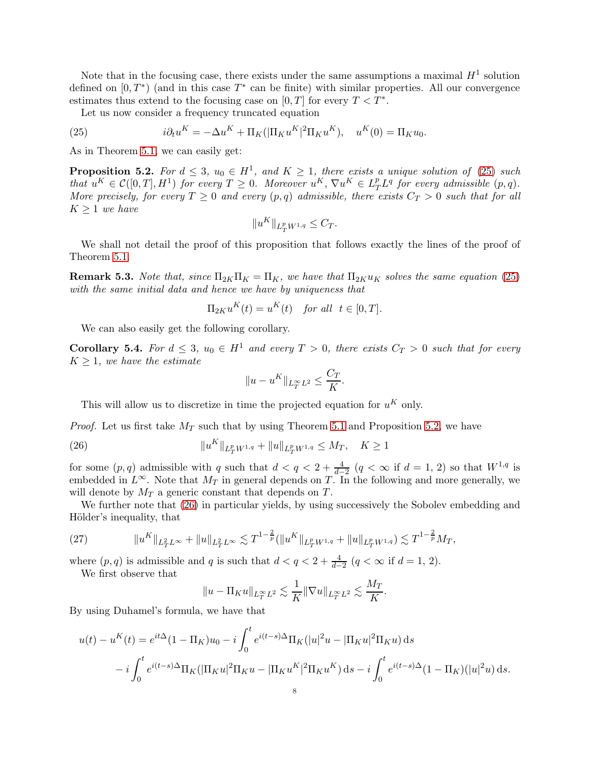Note that in the focusing case, there exists under the same assumptions a maximal  $H^1$  solution defined on  $[0, T^*)$  (and in this case  $T^*$  can be finite) with similar properties. All our convergence estimates thus extend to the focusing case on  $[0, T]$  for every  $T < T^*$ .

<span id="page-7-0"></span>Let us now consider a frequency truncated equation

(25) 
$$
i\partial_t u^K = -\Delta u^K + \Pi_K(|\Pi_K u^K|^2 \Pi_K u^K), \quad u^K(0) = \Pi_K u_0.
$$

As in Theorem [5.1,](#page-6-6) we can easily get:

<span id="page-7-1"></span>**Proposition 5.2.** For  $d \leq 3$ ,  $u_0 \in H^1$ , and  $K \geq 1$ , there exists a unique solution of [\(25\)](#page-7-0) such  $that \ u^K \in \mathcal{C}([0,T], H^1) \ \text{for every} \ T \geq 0.$  Moreover  $u^K, \nabla u^K \in L_T^p L^q \ \text{for every admissible} \ (p,q)$ . *More precisely, for every*  $T \geq 0$  *and every*  $(p,q)$  *admissible, there exists*  $C_T > 0$  *such that for all*  $K \geq 1$  *we have* 

$$
||u^K||_{L^p_T W^{1,q}} \leq C_T.
$$

We shall not detail the proof of this proposition that follows exactly the lines of the proof of Theorem [5.1.](#page-6-6)

**Remark 5.3.** *Note that, since*  $\Pi_{2K}\Pi_K = \Pi_K$ *, we have that*  $\Pi_{2K}u_K$  *solves the same equation* [\(25\)](#page-7-0) *with the same initial data and hence we have by uniqueness that*

$$
\Pi_{2K} u^K(t) = u^K(t) \quad \text{for all} \ \ t \in [0, T].
$$

We can also easily get the following corollary.

<span id="page-7-4"></span>**Corollary 5.4.** For  $d \leq 3$ ,  $u_0 \in H^1$  and every  $T > 0$ , there exists  $C_T > 0$  such that for every  $K \geq 1$ *, we have the estimate* 

<span id="page-7-2"></span>
$$
||u - uK||_{L_T^{\infty}L^2} \leq \frac{C_T}{K}.
$$

This will allow us to discretize in time the projected equation for  $u<sup>K</sup>$  only.

*Proof.* Let us first take  $M_T$  such that by using Theorem [5.1](#page-6-6) and Proposition [5.2,](#page-7-1) we have

(26) 
$$
||u^K||_{L^p_T W^{1,q}} + ||u||_{L^p_T W^{1,q}} \le M_T, \quad K \ge 1
$$

for some  $(p, q)$  admissible with q such that  $d < q < 2 + \frac{4}{d-2}$   $(q < \infty$  if  $d = 1, 2)$  so that  $W^{1,q}$  is embedded in  $L^{\infty}$ . Note that  $M_T$  in general depends on T. In the following and more generally, we will denote by  $M_T$  a generic constant that depends on T.

We further note that [\(26\)](#page-7-2) in particular yields, by using successively the Sobolev embedding and Hölder's inequality, that

<span id="page-7-3"></span>(27) 
$$
||u^K||_{L^2_T L^\infty} + ||u||_{L^2_T L^\infty} \lesssim T^{1-\frac{2}{p}} (||u^K||_{L^p_T W^{1,q}} + ||u||_{L^p_T W^{1,q}}) \lesssim T^{1-\frac{2}{p}} M_T,
$$

where  $(p, q)$  is admissible and q is such that  $d < q < 2 + \frac{4}{d-2}$   $(q < \infty$  if  $d = 1, 2)$ .

We first observe that

$$
||u - \Pi_K u||_{L_T^{\infty} L^2} \lesssim \frac{1}{K} ||\nabla u||_{L_T^{\infty} L^2} \lesssim \frac{M_T}{K}.
$$

By using Duhamel's formula, we have that

$$
u(t) - u^{K}(t) = e^{it\Delta}(1 - \Pi_{K})u_{0} - i \int_{0}^{t} e^{i(t-s)\Delta} \Pi_{K}(|u|^{2}u - |\Pi_{K}u|^{2}\Pi_{K}u) ds
$$
  

$$
- i \int_{0}^{t} e^{i(t-s)\Delta} \Pi_{K}(|\Pi_{K}u|^{2}\Pi_{K}u - |\Pi_{K}u^{K}|^{2}\Pi_{K}u^{K}) ds - i \int_{0}^{t} e^{i(t-s)\Delta}(1 - \Pi_{K})(|u|^{2}u) ds.
$$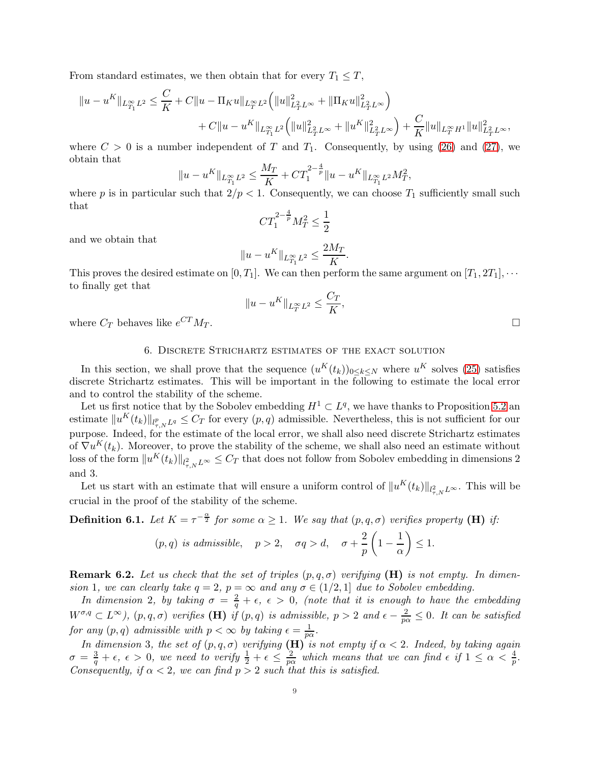From standard estimates, we then obtain that for every  $T_1 \leq T$ ,

$$
||u - u^{K}||_{L^{\infty}_{T_1}L^2} \leq \frac{C}{K} + C||u - \Pi_K u||_{L^{\infty}_{T}L^2} \Big(||u||^{2}_{L^{2}_{T}L^{\infty}} + ||\Pi_K u||^{2}_{L^{2}_{T}L^{\infty}}\Big) + C||u - u^{K}||_{L^{\infty}_{T_1}L^2} \Big(||u||^{2}_{L^{2}_{T}L^{\infty}} + ||u^{K}||^{2}_{L^{2}_{T}L^{\infty}}\Big) + \frac{C}{K}||u||_{L^{\infty}_{T}H^1}||u||^{2}_{L^{2}_{T}L^{\infty}},
$$

where  $C > 0$  is a number independent of T and  $T_1$ . Consequently, by using [\(26\)](#page-7-2) and [\(27\)](#page-7-3), we obtain that

$$
||u - u^{K}||_{L^{\infty}_{T_1}L^2} \leq \frac{M_T}{K} + CT_1^{2-\frac{4}{p}}||u - u^{K}||_{L^{\infty}_{T_1}L^2}M_T^2,
$$

where p is in particular such that  $2/p < 1$ . Consequently, we can choose  $T_1$  sufficiently small such that

$$
CT_1^{2-\frac{4}{p}}M_T^2 \le \frac{1}{2}
$$

and we obtain that

$$
\|u-u^K\|_{L^\infty_{T_1}L^2}\leq \frac{2M_T}{K}.
$$

This proves the desired estimate on  $[0, T_1]$ . We can then perform the same argument on  $[T_1, 2T_1], \cdots$ to finally get that

$$
||u - uK||_{L_T^{\infty}L^2} \le \frac{C_T}{K},
$$

<span id="page-8-0"></span>where  $C_T$  behaves like  $e^{CT}M_T$ .  $T^T M_T$ .

# 6. Discrete Strichartz estimates of the exact solution

In this section, we shall prove that the sequence  $(u^K(t_k))_{0 \leq k \leq N}$  where  $u^K$  solves [\(25\)](#page-7-0) satisfies discrete Strichartz estimates. This will be important in the following to estimate the local error and to control the stability of the scheme.

Let us first notice that by the Sobolev embedding  $H^1 \subset L^q$ , we have thanks to Proposition [5.2](#page-7-1) and estimate  $||u^K(t_k)||_{l^p_{\tau,N}L^q} \leq C_T$  for every  $(p,q)$  admissible. Nevertheless, this is not sufficient for our purpose. Indeed, for the estimate of the local error, we shall also need discrete Strichartz estimates of  $\nabla u^K(t_k)$ . Moreover, to prove the stability of the scheme, we shall also need an estimate without loss of the form  $||u^K(t_k)||_{l^2_{\tau,N}L^{\infty}} \leq C_T$  that does not follow from Sobolev embedding in dimensions 2 and 3.

Let us start with an estimate that will ensure a uniform control of  $||u^K(t_k)||_{l^2_{\tau,N}L^{\infty}}$ . This will be crucial in the proof of the stability of the scheme.

**Definition 6.1.** Let  $K = \tau^{-\frac{\alpha}{2}}$  for some  $\alpha \geq 1$ . We say that  $(p, q, \sigma)$  verifies property (H) if:

$$
(p,q)
$$
 is admissible,  $p > 2$ ,  $\sigma q > d$ ,  $\sigma + \frac{2}{p} \left(1 - \frac{1}{\alpha}\right) \le 1$ .

<span id="page-8-1"></span>Remark 6.2. *Let us check that the set of triples* (p, q, σ) *verifying* (H) *is not empty. In dimension* 1*, we can clearly take*  $q = 2$ *,*  $p = \infty$  *and any*  $\sigma \in (1/2, 1]$  *due to Sobolev embedding.* 

*In dimension* 2, by taking  $\sigma = \frac{2}{q} + \epsilon$ ,  $\epsilon > 0$ , (note that it is enough to have the embedding  $W^{\sigma,q} \subset L^{\infty}$ ),  $(p,q,\sigma)$  *verifies* (**H**) *if*  $(p,q)$  *is admissible*,  $p > 2$  *and*  $\epsilon - \frac{2}{p\alpha} \leq 0$ . It can be satisfied *for any*  $(p, q)$  *admissible with*  $p < \infty$  *by taking*  $\epsilon = \frac{1}{p}$  $\frac{1}{p\alpha}$ .

*In dimension* 3*, the set of*  $(p, q, \sigma)$  *verifying*  $(H)$  *is not empty if*  $\alpha < 2$ *. Indeed, by taking again*  $\sigma \, = \, \frac{3}{q} + \epsilon, \ \epsilon \, > \, 0, \,\ we \,\ need \,\ to \,\, verify \,\ \frac{1}{2} + \epsilon \, \leq \, \frac{2}{pc}$  $\frac{2}{p\alpha}$  which means that we can find  $\epsilon$  if  $1 \leq \alpha < \frac{4}{p}$ . *Consequently, if*  $\alpha < 2$ *, we can find*  $p > 2$  *such that this is satisfied.*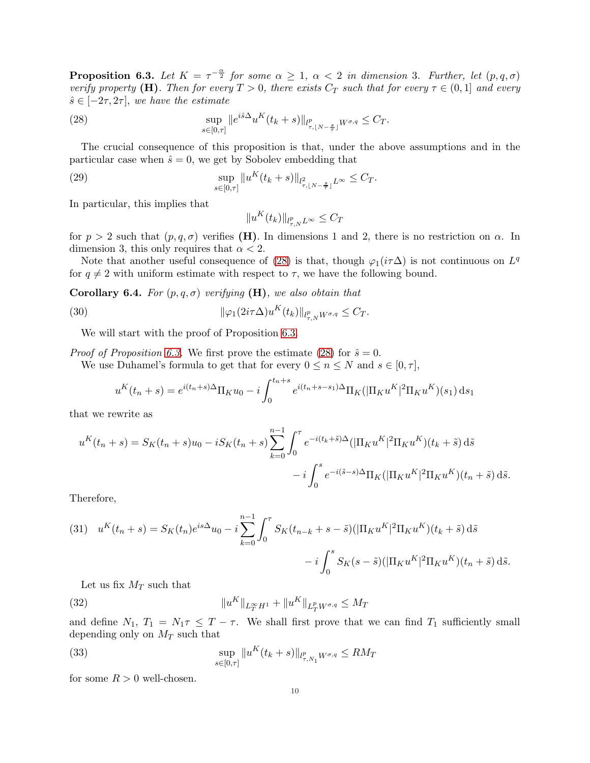<span id="page-9-0"></span>**Proposition 6.3.** Let  $K = \tau^{-\frac{\alpha}{2}}$  for some  $\alpha \geq 1$ ,  $\alpha < 2$  in dimension 3. Further, let  $(p, q, \sigma)$ *verify property* (H). Then for every  $T > 0$ , there exists  $C_T$  such that for every  $\tau \in (0,1]$  and every  $\hat{s} \in [-2\tau, 2\tau]$ , we have the estimate

(28) 
$$
\sup_{s \in [0,\tau]} \|e^{i\hat{s}\Delta} u^K(t_k + s)\|_{l^p_{\tau,[N-\frac{s}{\tau}]} W^{\sigma,q}} \leq C_T.
$$

The crucial consequence of this proposition is that, under the above assumptions and in the particular case when  $\hat{s} = 0$ , we get by Sobolev embedding that

(29) 
$$
\sup_{s \in [0,\tau]} \|u^K(t_k+s)\|_{l^2_{\tau,[N-\frac{s}{\tau}]}L^{\infty}} \leq C_T.
$$

In particular, this implies that

<span id="page-9-6"></span><span id="page-9-4"></span><span id="page-9-1"></span>
$$
||u^K(t_k)||_{l^p_{\tau,N}L^\infty}\leq C_T
$$

for  $p > 2$  such that  $(p, q, \sigma)$  verifies (H). In dimensions 1 and 2, there is no restriction on  $\alpha$ . In dimension 3, this only requires that  $\alpha < 2$ .

Note that another useful consequence of [\(28\)](#page-9-1) is that, though  $\varphi_1(i\tau\Delta)$  is not continuous on  $L^q$ for  $q \neq 2$  with uniform estimate with respect to  $\tau$ , we have the following bound.

<span id="page-9-5"></span>**Corollary 6.4.** *For*  $(p, q, \sigma)$  *verifying*  $(H)$ *, we also obtain that* 

(30) 
$$
\|\varphi_1(2i\tau\Delta)u^K(t_k)\|_{l^p_{\tau,N}W^{\sigma,q}} \leq C_T.
$$

We will start with the proof of Proposition [6.3.](#page-9-0)

*Proof of Proposition [6.3.](#page-9-0)* We first prove the estimate [\(28\)](#page-9-1) for  $\hat{s} = 0$ . We use Duhamel's formula to get that for every  $0 \le n \le N$  and  $s \in [0, \tau]$ ,

$$
u^{K}(t_{n}+s) = e^{i(t_{n}+s)\Delta} \Pi_{K} u_{0} - i \int_{0}^{t_{n}+s} e^{i(t_{n}+s-s_{1})\Delta} \Pi_{K}(|\Pi_{K} u^{K}|^{2} \Pi_{K} u^{K})(s_{1}) ds_{1}
$$

that we rewrite as

$$
u^{K}(t_{n}+s) = S_{K}(t_{n}+s)u_{0} - iS_{K}(t_{n}+s)\sum_{k=0}^{n-1} \int_{0}^{\tau} e^{-i(t_{k}+\tilde{s})\Delta}(|\Pi_{K}u^{K}|^{2}\Pi_{K}u^{K})(t_{k}+\tilde{s}) d\tilde{s}
$$

$$
-i\int_{0}^{s} e^{-i(\tilde{s}-s)\Delta}\Pi_{K}(|\Pi_{K}u^{K}|^{2}\Pi_{K}u^{K})(t_{n}+\tilde{s}) d\tilde{s}.
$$

Therefore,

<span id="page-9-3"></span>(31) 
$$
u^{K}(t_{n}+s) = S_{K}(t_{n})e^{is\Delta}u_{0} - i\sum_{k=0}^{n-1} \int_{0}^{\tau} S_{K}(t_{n-k}+s-\tilde{s})(|\Pi_{K}u^{K}|^{2}\Pi_{K}u^{K})(t_{k}+\tilde{s}) d\tilde{s} - i\int_{0}^{s} S_{K}(s-\tilde{s})(|\Pi_{K}u^{K}|^{2}\Pi_{K}u^{K})(t_{n}+\tilde{s}) d\tilde{s}.
$$

Let us fix  $M_T$  such that

(32) 
$$
||u^K||_{L_T^{\infty}H^1} + ||u^K||_{L_T^p W^{\sigma,q}} \le M_T
$$

and define  $N_1$ ,  $T_1 = N_1 \tau \leq T - \tau$ . We shall first prove that we can find  $T_1$  sufficiently small depending only on  $M_T$  such that

<span id="page-9-2"></span>(33) 
$$
\sup_{s \in [0,\tau]} \|u^K(t_k + s)\|_{l^p_{\tau,N_1} W^{\sigma,q}} \le RM_T
$$

for some  $R > 0$  well-chosen.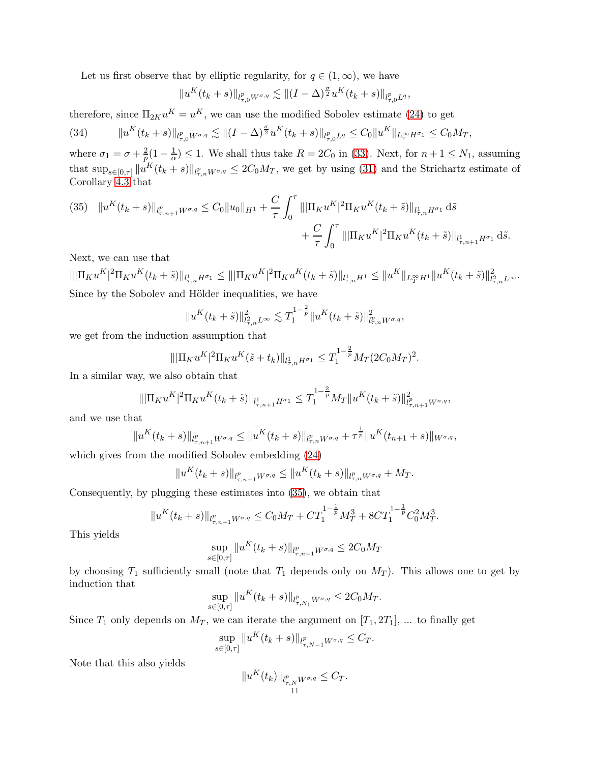Let us first observe that by elliptic regularity, for  $q \in (1,\infty)$ , we have

$$
||u^K(t_k+s)||_{l^p_{\tau,0}W^{\sigma,q}} \lesssim ||(I-\Delta)^{\frac{\sigma}{2}}u^K(t_k+s)||_{l^p_{\tau,0}L^q},
$$

therefore, since  $\Pi_{2K}u^K = u^K$ , we can use the modified Sobolev estimate [\(24\)](#page-6-7) to get

<span id="page-10-1"></span>
$$
(34) \t\t ||u^K(t_k+s)||_{l^p_{\tau,0}W^{\sigma,q}} \lesssim ||(I-\Delta)^{\frac{\sigma}{2}}u^K(t_k+s)||_{l^p_{\tau,0}L^q} \leq C_0||u^K||_{L^\infty_\tau H^{\sigma_1}} \leq C_0M_T,
$$

where  $\sigma_1 = \sigma + \frac{2}{p}$  $\frac{2}{p}(1-\frac{1}{\alpha})$  $\frac{1}{\alpha}$   $\leq$  1. We shall thus take  $R = 2C_0$  in [\(33\)](#page-9-2). Next, for  $n + 1 \leq N_1$ , assuming that  $\sup_{s\in[0,\tau]}\|u^K(t_k+s)\|_{l_{\tau,n}^p W^{\sigma,q}}\leq 2C_0M_T$ , we get by using [\(31\)](#page-9-3) and the Strichartz estimate of Corollary [4.3](#page-6-8) that

<span id="page-10-0"></span>(35) 
$$
||u^{K}(t_{k}+s)||_{l_{\tau,n+1}^{p}W^{\sigma,q}} \leq C_{0}||u_{0}||_{H^{1}} + \frac{C}{\tau} \int_{0}^{\tau} |||\Pi_{K}u^{K}|^{2}\Pi_{K}u^{K}(t_{k}+\tilde{s})||_{l_{\tau,n}^{1}H^{\sigma_{1}}} d\tilde{s} + \frac{C}{\tau} \int_{0}^{\tau} |||\Pi_{K}u^{K}|^{2}\Pi_{K}u^{K}(t_{k}+\tilde{s})||_{l_{\tau,n+1}^{1}H^{\sigma_{1}}} d\tilde{s}.
$$

Next, we can use that

 $\begin{aligned} \|\|\Pi_Ku^K|^2\Pi_Ku^K(t_k+\tilde{s})\|_{l^1_{\tau,n}H^{\sigma_1}} &\leq \|\|\Pi_Ku^K|^2\Pi_Ku^K(t_k+\tilde{s})\|_{l^1_{\tau,n}H^1} \leq \|u^K\|_{L^\infty_T H^1} \|u^K(t_k+\tilde{s})\|_{l^2_{\tau,n}L^\infty}^2. \end{aligned}$ Since by the Sobolev and Hölder inequalities, we have

$$
||u^K(t_k+\tilde{s})||^2_{l^2_{\tau,n}L^{\infty}} \lesssim T_1^{1-\frac{2}{p}}||u^K(t_k+\tilde{s})||^2_{l^p_{\tau,n}W^{\sigma,q}},
$$

we get from the induction assumption that

$$
\|\|\Pi_K u^K\|^2 \Pi_K u^K(\tilde{s} + t_k)\|_{l^1_{\tau,n} H^{\sigma_1}} \le T_1^{1-\frac{2}{p}} M_T (2C_0 M_T)^2.
$$

In a similar way, we also obtain that

$$
\|\|\Pi_K u^K|^2 \Pi_K u^K(t_k + \tilde{s})\|_{l^1_{\tau,n+1} H^{\sigma_1}} \leq T_1^{1-\frac{2}{p}} M_T \|u^K(t_k + \tilde{s})\|_{l^p_{\tau,n+1} W^{\sigma,q}}^2,
$$

and we use that

$$
||u^K(t_k+s)||_{l^p_{\tau,n+1}W^{\sigma,q}} \leq ||u^K(t_k+s)||_{l^p_{\tau,n}W^{\sigma,q}} + \tau^{\frac{1}{p}}||u^K(t_{n+1}+s)||_{W^{\sigma,q}},
$$

which gives from the modified Sobolev embedding [\(24\)](#page-6-7)

$$
||u^K(t_k+s)||_{l^p_{\tau,n+1}W^{\sigma,q}} \leq ||u^K(t_k+s)||_{l^p_{\tau,n}W^{\sigma,q}} + M_T.
$$

Consequently, by plugging these estimates into [\(35\)](#page-10-0), we obtain that

$$
||u^K(t_k+s)||_{l^p_{\tau,n+1}W^{\sigma,q}} \leq C_0M_T+CT_1^{1-\frac{1}{p}}M_T^3+8CT_1^{1-\frac{1}{p}}C_0^2M_T^3.
$$

This yields

$$
\sup_{s \in [0,\tau]} \|u^K(t_k + s)\|_{l^p_{\tau,n+1}W^{\sigma,q}} \le 2C_0M_T
$$

by choosing  $T_1$  sufficiently small (note that  $T_1$  depends only on  $M_T$ ). This allows one to get by induction that

$$
\sup_{s \in [0,\tau]} \|u^K(t_k + s)\|_{l^p_{\tau,N_1} W^{\sigma,q}} \leq 2C_0 M_T.
$$

Since  $T_1$  only depends on  $M_T$ , we can iterate the argument on  $[T_1, 2T_1]$ , ... to finally get

$$
\sup_{s \in [0,\tau]} \|u^K(t_k + s)\|_{l^p_{\tau,N-1}W^{\sigma,q}} \leq C_T.
$$

Note that this also yields

$$
||u^K(t_k)||_{l^p_{\tau,N}W^{\sigma,q}} \leq C_T.
$$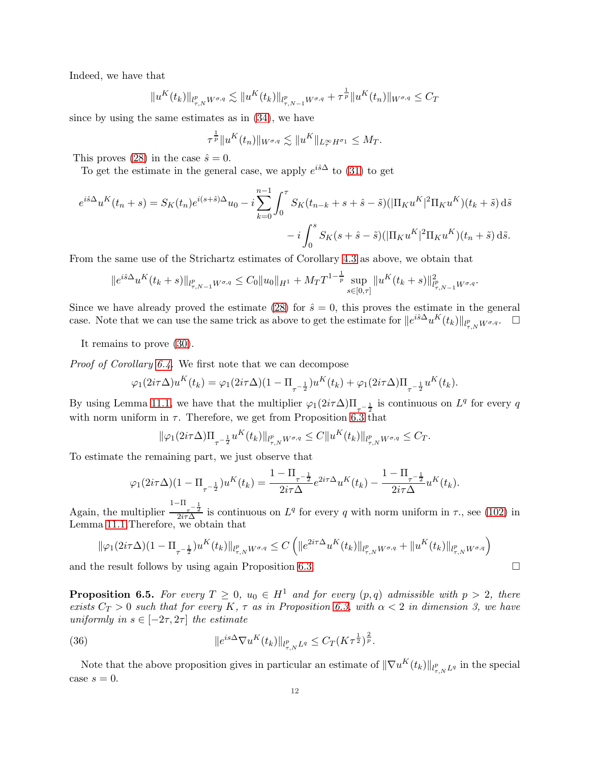Indeed, we have that

$$
||u^K(t_k)||_{l^p_{\tau,N}W^{\sigma,q}} \lesssim ||u^K(t_k)||_{l^p_{\tau,N-1}W^{\sigma,q}} + \tau^{\frac{1}{p}}||u^K(t_n)||_{W^{\sigma,q}} \leq C_T
$$

since by using the same estimates as in [\(34\)](#page-10-1), we have

$$
\tau^{\frac{1}{p}} \|u^K(t_n)\|_{W^{\sigma,q}} \lesssim \|u^K\|_{L^\infty_\tau H^{\sigma_1}} \le M_T.
$$

This proves [\(28\)](#page-9-1) in the case  $\hat{s} = 0$ .

To get the estimate in the general case, we apply  $e^{i\hat{s}\Delta}$  to [\(31\)](#page-9-3) to get

$$
e^{i\hat{s}\Delta}u^{K}(t_{n}+s) = S_{K}(t_{n})e^{i(s+\hat{s})\Delta}u_{0} - i\sum_{k=0}^{n-1}\int_{0}^{\tau}S_{K}(t_{n-k}+s+\hat{s}-\tilde{s})(|\Pi_{K}u^{K}|^{2}\Pi_{K}u^{K})(t_{k}+\tilde{s}) d\tilde{s} - i\int_{0}^{s}S_{K}(s+\hat{s}-\tilde{s})(|\Pi_{K}u^{K}|^{2}\Pi_{K}u^{K})(t_{n}+\tilde{s}) d\tilde{s}.
$$

From the same use of the Strichartz estimates of Corollary [4.3](#page-6-8) as above, we obtain that

$$
||e^{i\hat{s}\Delta}u^K(t_k+s)||_{l^p_{\tau,N-1}W^{\sigma,q}} \leq C_0||u_0||_{H^1} + M_T T^{1-\frac{1}{p}} \sup_{s\in[0,\tau]} ||u^K(t_k+s)||_{l^p_{\tau,N-1}W^{\sigma,q}}^2.
$$

Since we have already proved the estimate [\(28\)](#page-9-1) for  $\hat{s} = 0$ , this proves the estimate in the general case. Note that we can use the same trick as above to get the estimate for  $||e^{i\hat{s}\Delta}u^K(t_k)||_{l^p_{\tau,N}W^{\sigma,q}}$ .

It remains to prove [\(30\)](#page-9-4).

*Proof of Corollary [6.4.](#page-9-5)* We first note that we can decompose

$$
\varphi_1(2i\tau\Delta)u^K(t_k) = \varphi_1(2i\tau\Delta)(1 - \Pi_{\tau^{-\frac{1}{2}}})u^K(t_k) + \varphi_1(2i\tau\Delta)\Pi_{\tau^{-\frac{1}{2}}}u^K(t_k).
$$

By using Lemma [11.1,](#page-26-0) we have that the multiplier  $\varphi_1(2i\tau\Delta)\Pi_{\tau=\frac{1}{2}}$  is continuous on  $L^q$  for every q with norm uniform in  $\tau$ . Therefore, we get from Proposition [6.3](#page-9-0) that

$$
\|\varphi_1(2i\tau\Delta)\Pi_{\tau^{-\frac{1}{2}}}u^K(t_k)\|_{l^p_{\tau,N}W^{\sigma,q}} \leq C\|u^K(t_k)\|_{l^p_{\tau,N}W^{\sigma,q}} \leq C_T.
$$

To estimate the remaining part, we just observe that

$$
\varphi_1(2i\tau\Delta)(1-\Pi_{\tau^{-\frac{1}{2}}})u^K(t_k) = \frac{1-\Pi_{\tau^{-\frac{1}{2}}}}{2i\tau\Delta}e^{2i\tau\Delta}u^K(t_k) - \frac{1-\Pi_{\tau^{-\frac{1}{2}}}}{2i\tau\Delta}u^K(t_k).
$$

Again, the multiplier  $\frac{1-\Pi}{2i\tau\Delta}$  is continuous on  $L^q$  for every q with norm uniform in  $\tau$ ., see [\(102\)](#page-26-1) in Lemma [11.1.](#page-26-0)Therefore, we obtain that

$$
\|\varphi_1(2i\tau\Delta)(1-\Pi_{\tau^{-\frac{1}{2}}})u^K(t_k)\|_{l^p_{\tau,N}W^{\sigma,q}}\leq C\left(\|e^{2i\tau\Delta}u^K(t_k)\|_{l^p_{\tau,N}W^{\sigma,q}}+\|u^K(t_k)\|_{l^p_{\tau,N}W^{\sigma,q}}\right)
$$

and the result follows by using again Proposition [6.3.](#page-9-0)

<span id="page-11-0"></span>**Proposition 6.5.** *For every*  $T \geq 0$ ,  $u_0 \in H^1$  *and for every*  $(p,q)$  *admissible with*  $p > 2$ , *there exists*  $C_T > 0$  *such that for every* K,  $\tau$  *as in Proposition* [6.3,](#page-9-0) with  $\alpha < 2$  *in dimension* 3, we have *uniformly in*  $s \in [-2\tau, 2\tau]$  *the estimate* 

<span id="page-11-1"></span>(36) 
$$
||e^{is\Delta} \nabla u^K(t_k)||_{l^p_{\tau,N}L^q} \leq C_T (K\tau^{\frac{1}{2}})^{\frac{2}{p}}.
$$

Note that the above proposition gives in particular an estimate of  $\|\nabla u^K(t_k)\|_{l^p_{\tau,N}L^q}$  in the special case  $s = 0$ .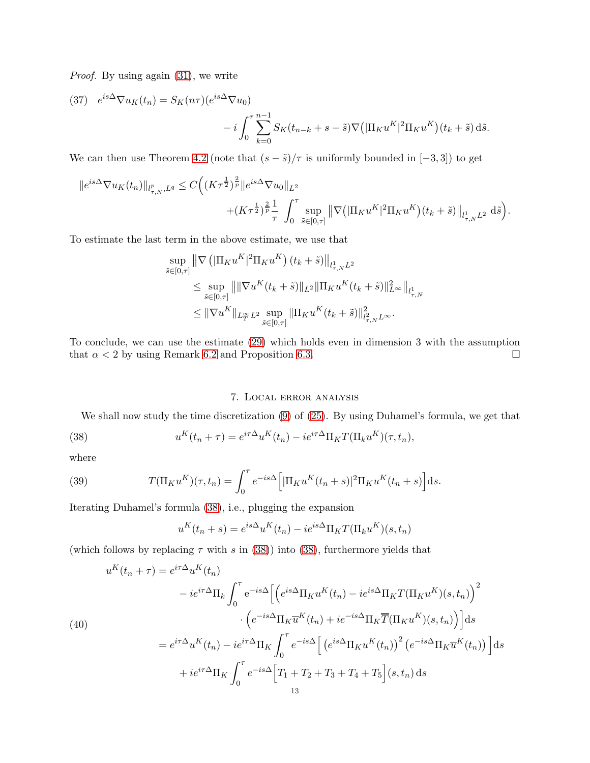*Proof.* By using again  $(31)$ , we write

(37) 
$$
e^{is\Delta} \nabla u_K(t_n) = S_K(n\tau)(e^{is\Delta} \nabla u_0)
$$
  

$$
-i \int_0^\tau \sum_{k=0}^{n-1} S_K(t_{n-k} + s - \tilde{s}) \nabla \left( |\Pi_K u^K|^2 \Pi_K u^K \right) (t_k + \tilde{s}) \, d\tilde{s}.
$$

We can then use Theorem [4.2](#page-6-0) (note that  $(s - \tilde{s})/\tau$  is uniformly bounded in [-3,3]) to get

$$
||e^{is\Delta}\nabla u_K(t_n)||_{l^p_{\tau,N},L^q} \leq C\Big((K\tau^{\frac{1}{2}})^{\frac{2}{p}}||e^{is\Delta}\nabla u_0||_{L^2} +(K\tau^{\frac{1}{2}})^{\frac{2}{p}}\frac{1}{\tau}\int_0^\tau \sup_{\tilde{s}\in[0,\tau]} \left\|\nabla \left(|\Pi_K u^K|^2\Pi_K u^K\right)(t_k+\tilde{s})\right\|_{l^1_{\tau,N}L^2} d\tilde{s}\Big).
$$

To estimate the last term in the above estimate, we use that

$$
\sup_{\tilde{s}\in[0,\tau]} \|\nabla \left( |\Pi_K u^K|^2 \Pi_K u^K \right) (t_k + \tilde{s}) \Big\|_{l^1_{\tau,N} L^2}
$$
\n
$$
\leq \sup_{\tilde{s}\in[0,\tau]} \left\| \|\nabla u^K(t_k + \tilde{s})\|_{L^2} \|\Pi_K u^K(t_k + \tilde{s})\|_{L^\infty}^2 \right\|_{l^1_{\tau,N}}
$$
\n
$$
\leq \|\nabla u^K\|_{L^\infty_T L^2} \sup_{\tilde{s}\in[0,\tau]} \|\Pi_K u^K(t_k + \tilde{s})\|_{l^2_{\tau,N} L^\infty}^2.
$$

To conclude, we can use the estimate [\(29\)](#page-9-6) which holds even in dimension 3 with the assumption that  $\alpha < 2$  by using Remark [6.2](#page-8-1) and Proposition [6.3.](#page-9-0)

## <span id="page-12-1"></span>7. Local error analysis

<span id="page-12-0"></span>We shall now study the time discretization [\(9\)](#page-2-0) of [\(25\)](#page-7-0). By using Duhamel's formula, we get that

(38) 
$$
u^K(t_n + \tau) = e^{i\tau \Delta} u^K(t_n) - i e^{i\tau \Delta} \Pi_K T(\Pi_k u^K)(\tau, t_n),
$$

where

(39) 
$$
T(\Pi_K u^K)(\tau, t_n) = \int_0^\tau e^{-is\Delta} \Big[ |\Pi_K u^K(t_n + s)|^2 \Pi_K u^K(t_n + s) \Big] ds.
$$

Iterating Duhamel's formula [\(38\)](#page-12-1), i.e., plugging the expansion

$$
u^{K}(t_{n}+s) = e^{is\Delta}u^{K}(t_{n}) - ie^{is\Delta}\Pi_{K}T(\Pi_{k}u^{K})(s,t_{n})
$$

(which follows by replacing  $\tau$  with s in [\(38\)](#page-12-1)) into (38), furthermore yields that

<span id="page-12-2"></span>
$$
u^{K}(t_{n}+\tau) = e^{i\tau\Delta}u^{K}(t_{n})
$$

$$
-ie^{i\tau\Delta}\Pi_{k}\int_{0}^{\tau}e^{-is\Delta}\Big[\Big(e^{is\Delta}\Pi_{K}u^{K}(t_{n})-ie^{is\Delta}\Pi_{K}T(\Pi_{K}u^{K})(s,t_{n})\Big)^{2}
$$

$$
\cdot\Big(e^{-is\Delta}\Pi_{K}\overline{u}^{K}(t_{n})+ie^{-is\Delta}\Pi_{K}\overline{T}(\Pi_{K}u^{K})(s,t_{n})\Big)\Big]ds
$$

$$
=e^{i\tau\Delta}u^{K}(t_{n})-ie^{i\tau\Delta}\Pi_{K}\int_{0}^{\tau}e^{-is\Delta}\Big[\Big(e^{is\Delta}\Pi_{K}u^{K}(t_{n})\Big)^{2}\Big(e^{-is\Delta}\Pi_{K}\overline{u}^{K}(t_{n})\Big)\Big]ds
$$

$$
+ie^{i\tau\Delta}\Pi_{K}\int_{0}^{\tau}e^{-is\Delta}\Big[T_{1}+T_{2}+T_{3}+T_{4}+T_{5}\Big](s,t_{n})ds
$$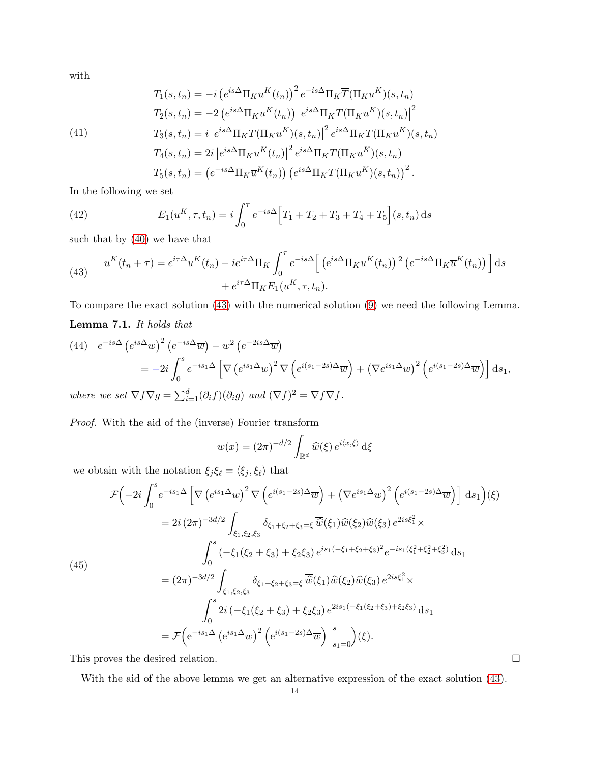with

<span id="page-13-3"></span>(41)  
\n
$$
T_1(s,t_n) = -i \left(e^{is\Delta} \Pi_K u^K(t_n)\right)^2 e^{-is\Delta} \Pi_K \overline{T}(\Pi_K u^K)(s,t_n)
$$
\n
$$
T_2(s,t_n) = -2 \left(e^{is\Delta} \Pi_K u^K(t_n)\right) \left|e^{is\Delta} \Pi_K T(\Pi_K u^K)(s,t_n)\right|^2
$$
\n
$$
T_3(s,t_n) = i \left|e^{is\Delta} \Pi_K T(\Pi_K u^K)(s,t_n)\right|^2 e^{is\Delta} \Pi_K T(\Pi_K u^K)(s,t_n)
$$
\n
$$
T_4(s,t_n) = 2i \left|e^{is\Delta} \Pi_K u^K(t_n)\right|^2 e^{is\Delta} \Pi_K T(\Pi_K u^K)(s,t_n)
$$
\n
$$
T_5(s,t_n) = \left(e^{-is\Delta} \Pi_K \overline{u}^K(t_n)\right) \left(e^{is\Delta} \Pi_K T(\Pi_K u^K)(s,t_n)\right)^2.
$$

In the following we set

<span id="page-13-1"></span>(42) 
$$
E_1(u^K, \tau, t_n) = i \int_0^{\tau} e^{-is\Delta} \Big[ T_1 + T_2 + T_3 + T_4 + T_5 \Big] (s, t_n) \, ds
$$

such that by [\(40\)](#page-12-2) we have that

<span id="page-13-0"></span>(43) 
$$
u^{K}(t_{n}+\tau) = e^{i\tau\Delta}u^{K}(t_{n}) - ie^{i\tau\Delta}\Pi_{K}\int_{0}^{\tau}e^{-is\Delta}\left[\left(e^{is\Delta}\Pi_{K}u^{K}(t_{n})\right)^{2}\left(e^{-is\Delta}\Pi_{K}\overline{u}^{K}(t_{n})\right)\right]ds + e^{i\tau\Delta}\Pi_{K}E_{1}(u^{K},\tau,t_{n}).
$$

<span id="page-13-2"></span>To compare the exact solution [\(43\)](#page-13-0) with the numerical solution [\(9\)](#page-2-0) we need the following Lemma. Lemma 7.1. *It holds that*

(44) 
$$
e^{-is\Delta} (e^{is\Delta}w)^2 (e^{-is\Delta}\overline{w}) - w^2 (e^{-2is\Delta}\overline{w})
$$
  
\n
$$
= -2i \int_0^s e^{-is_1\Delta} \left[ \nabla (e^{is_1\Delta}w)^2 \nabla (e^{i(s_1-2s)\Delta}\overline{w}) + (\nabla e^{is_1\Delta}w)^2 (e^{i(s_1-2s)\Delta}\overline{w}) \right] ds_1,
$$
\nwhere we set  $\nabla f \nabla g = \sum_{i=1}^d (\partial_i f)(\partial_i g)$  and  $(\nabla f)^2 = \nabla f \nabla f$ .

*Proof.* With the aid of the (inverse) Fourier transform

$$
w(x) = (2\pi)^{-d/2} \int_{\mathbb{R}^d} \widehat{w}(\xi) e^{i\langle x, \xi \rangle} d\xi
$$

we obtain with the notation  $\xi_j \xi_\ell = \langle \xi_j, \xi_\ell \rangle$  that

$$
\mathcal{F}\left(-2i\int_{0}^{s} e^{-is_{1}\Delta} \left[\nabla \left(e^{is_{1}\Delta}w\right)^{2} \nabla \left(e^{i(s_{1}-2s)\Delta} \overline{w}\right) + \left(\nabla e^{is_{1}\Delta}w\right)^{2} \left(e^{i(s_{1}-2s)\Delta} \overline{w}\right)\right] ds_{1}\right)(\xi)
$$
\n
$$
= 2i (2\pi)^{-3d/2} \int_{\xi_{1},\xi_{2},\xi_{3}} \delta_{\xi_{1}+\xi_{2}+\xi_{3}=\xi} \overline{\hat{w}}(\xi_{1}) \widehat{w}(\xi_{2}) \widehat{w}(\xi_{3}) e^{2is\xi_{1}^{2}} \times
$$
\n
$$
\int_{0}^{s} \left(-\xi_{1}(\xi_{2}+\xi_{3}) + \xi_{2}\xi_{3}\right) e^{is_{1}\left(-\xi_{1}+\xi_{2}+\xi_{3}\right)^{2}} e^{-is_{1}\left(\xi_{1}^{2}+\xi_{2}^{2}+\xi_{3}^{2}\right)} ds_{1}
$$
\n
$$
= (2\pi)^{-3d/2} \int_{\xi_{1},\xi_{2},\xi_{3}} \delta_{\xi_{1}+\xi_{2}+\xi_{3}=\xi} \overline{\hat{w}}(\xi_{1}) \widehat{w}(\xi_{2}) \widehat{w}(\xi_{3}) e^{2is\xi_{1}^{2}} \times
$$
\n
$$
\int_{0}^{s} 2i \left(-\xi_{1}(\xi_{2}+\xi_{3}) + \xi_{2}\xi_{3}\right) e^{2is_{1}\left(-\xi_{1}(\xi_{2}+\xi_{3}) + \xi_{2}\xi_{3}\right)} ds_{1}
$$
\n
$$
= \mathcal{F}\left(e^{-is_{1}\Delta} \left(e^{is_{1}\Delta}w\right)^{2} \left(e^{i(s_{1}-2s)\Delta} \overline{w}\right)\Big|_{s_{1}=0}^{s}\right)(\xi).
$$

This proves the desired relation.  $\hfill \Box$ 

With the aid of the above lemma we get an alternative expression of the exact solution [\(43\)](#page-13-0).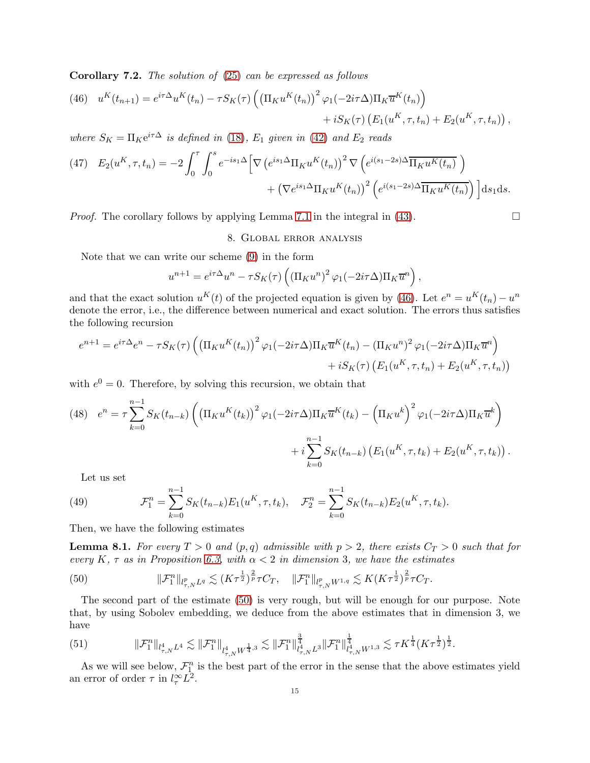<span id="page-14-0"></span>Corollary 7.2. *The solution of* [\(25\)](#page-7-0) *can be expressed as follows*

<span id="page-14-2"></span>(46) 
$$
u^{K}(t_{n+1}) = e^{i\tau \Delta} u^{K}(t_{n}) - \tau S_{K}(\tau) \left( \left( \prod_{K} u^{K}(t_{n}) \right)^{2} \varphi_{1}(-2i\tau \Delta) \prod_{K} \overline{u}^{K}(t_{n}) \right) + i S_{K}(\tau) \left( E_{1}(u^{K}, \tau, t_{n}) + E_{2}(u^{K}, \tau, t_{n}) \right),
$$

*where*  $S_K = \prod_K e^{i\tau \Delta}$  *is defined in* [\(18\)](#page-5-1)*,*  $E_1$  *given in* [\(42\)](#page-13-1) *and*  $E_2$  *reads* 

<span id="page-14-4"></span>(47) 
$$
E_2(u^K, \tau, t_n) = -2 \int_0^{\tau} \int_0^s e^{-is_1 \Delta} \left[ \nabla \left( e^{is_1 \Delta} \Pi_K u^K(t_n) \right)^2 \nabla \left( e^{i(s_1 - 2s)\Delta} \overline{\Pi_K u^K(t_n)} \right) + \left( \nabla e^{is_1 \Delta} \Pi_K u^K(t_n) \right)^2 \left( e^{i(s_1 - 2s)\Delta} \overline{\Pi_K u^K(t_n)} \right) \right] ds_1 ds.
$$

<span id="page-14-1"></span>*Proof.* The corollary follows by applying Lemma [7.1](#page-13-2) in the integral in [\(43\)](#page-13-0).  $\Box$ 

## 8. Global error analysis

Note that we can write our scheme [\(9\)](#page-2-0) in the form

$$
u^{n+1} = e^{i\tau \Delta} u^n - \tau S_K(\tau) \left( \left( \Pi_K u^n \right)^2 \varphi_1(-2i\tau \Delta) \Pi_K \overline{u}^n \right),
$$

and that the exact solution  $u^K(t)$  of the projected equation is given by [\(46\)](#page-14-2). Let  $e^n = u^K(t_n) - u^n$ denote the error, i.e., the difference between numerical and exact solution. The errors thus satisfies the following recursion

$$
e^{n+1} = e^{i\tau\Delta}e^n - \tau S_K(\tau) \left( \left( \prod_K u^K(t_n) \right)^2 \varphi_1(-2i\tau\Delta) \prod_K \overline{u}^K(t_n) - \left( \prod_K u^n \right)^2 \varphi_1(-2i\tau\Delta) \prod_K \overline{u}^n \right) + i S_K(\tau) \left( E_1(u^K, \tau, t_n) + E_2(u^K, \tau, t_n) \right)
$$

with  $e^0 = 0$ . Therefore, by solving this recursion, we obtain that

<span id="page-14-6"></span>(48) 
$$
e^{n} = \tau \sum_{k=0}^{n-1} S_{K}(t_{n-k}) \left( \left( \prod_{i} u^{K}(t_{k}) \right)^{2} \varphi_{1}(-2i\tau \Delta) \prod_{i} \overline{u}^{K}(t_{k}) - \left( \prod_{i} u^{k} \right)^{2} \varphi_{1}(-2i\tau \Delta) \Pi_{K} \overline{u}^{k} \right) + i \sum_{k=0}^{n-1} S_{K}(t_{n-k}) \left( E_{1}(u^{K}, \tau, t_{k}) + E_{2}(u^{K}, \tau, t_{k}) \right).
$$

<span id="page-14-5"></span>Let us set

(49) 
$$
\mathcal{F}_1^n = \sum_{k=0}^{n-1} S_K(t_{n-k}) E_1(u^K, \tau, t_k), \quad \mathcal{F}_2^n = \sum_{k=0}^{n-1} S_K(t_{n-k}) E_2(u^K, \tau, t_k).
$$

Then, we have the following estimates

<span id="page-14-7"></span>**Lemma 8.1.** For every  $T > 0$  and  $(p,q)$  admissible with  $p > 2$ , there exists  $C_T > 0$  such that for *every*  $K$ *,*  $\tau$  *as in Proposition [6.3,](#page-9-0) with*  $\alpha < 2$  *in dimension* 3*, we have the estimates* 

<span id="page-14-3"></span>(50) 
$$
\|\mathcal{F}_{1}^{n}\|_{l_{\tau,N}^{p}L^{q}} \lesssim (K\tau^{\frac{1}{2}})^{\frac{2}{p}}\tau C_{T}, \quad \|\mathcal{F}_{1}^{n}\|_{l_{\tau,N}^{p}W^{1,q}} \lesssim K(K\tau^{\frac{1}{2}})^{\frac{2}{p}}\tau C_{T}.
$$

The second part of the estimate [\(50\)](#page-14-3) is very rough, but will be enough for our purpose. Note that, by using Sobolev embedding, we deduce from the above estimates that in dimension 3, we have

<span id="page-14-8"></span>
$$
(51) \t\t\t\t\|\mathcal{F}_{1}^{n}\|_{l_{\tau,N}^{4}L^{4}} \lesssim \|\mathcal{F}_{1}^{n}\|_{l_{\tau,N}^{4}W^{\frac{1}{4},3}} \lesssim \|\mathcal{F}_{1}^{n}\|_{l_{\tau,N}^{4}L^{3}}^{\frac{3}{4}}\|\mathcal{F}_{1}^{n}\|_{l_{\tau,N}^{4}W^{1,3}}^{\frac{1}{4}} \lesssim \tau K^{\frac{1}{4}}(K\tau^{\frac{1}{2}})^{\frac{1}{2}}.
$$

As we will see below,  $\mathcal{F}_{1}^{n}$  is the best part of the error in the sense that the above estimates yield an error of order  $\tau$  in  $l_{\tau}^{\infty}L^2$ .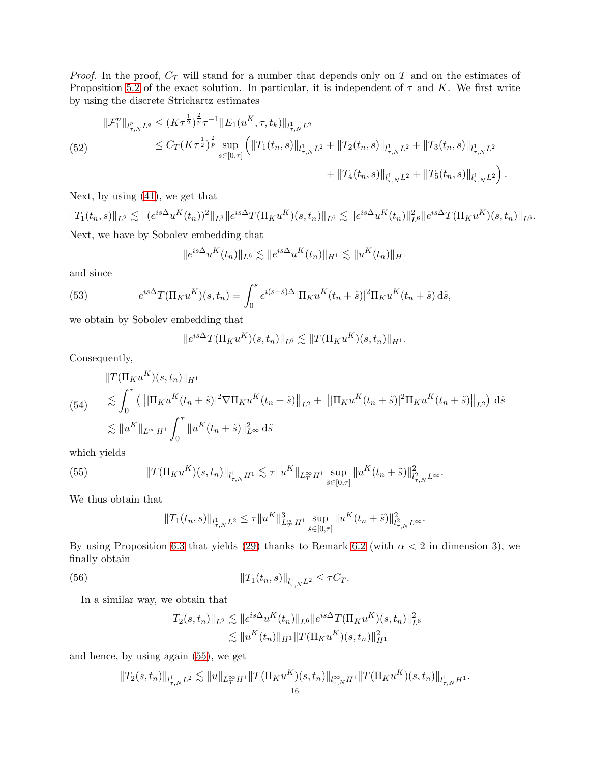*Proof.* In the proof,  $C_T$  will stand for a number that depends only on  $T$  and on the estimates of Proposition [5.2](#page-7-1) of the exact solution. In particular, it is independent of  $\tau$  and K. We first write by using the discrete Strichartz estimates

<span id="page-15-3"></span>(52)  
\n
$$
\|\mathcal{F}_{1}^{n}\|_{l_{\tau,N}^{p}L^{q}} \leq (K\tau^{\frac{1}{2}})^{\frac{2}{p}}\tau^{-1}\|E_{1}(u^{K},\tau,t_{k})\|_{l_{\tau,N}^{1}L^{2}}\n\leq C_{T}(K\tau^{\frac{1}{2}})^{\frac{2}{p}}\sup_{s\in[0,\tau]}\left(\|T_{1}(t_{n},s)\|_{l_{\tau,N}^{1}L^{2}}+\|T_{2}(t_{n},s)\|_{l_{\tau,N}^{1}L^{2}}+\|T_{3}(t_{n},s)\|_{l_{\tau,N}^{1}L^{2}}\right)\n+\|T_{4}(t_{n},s)\|_{l_{\tau,N}^{1}L^{2}}+\|T_{5}(t_{n},s)\|_{l_{\tau,N}^{1}L^{2}}\right).
$$

Next, by using [\(41\)](#page-13-3), we get that

 $||T_1(t_n, s)||_{L^2} \lesssim ||(e^{is\Delta}u^K(t_n))^2||_{L^3}||e^{is\Delta}T(\Pi_Ku^K)(s, t_n)||_{L^6} \lesssim ||e^{is\Delta}u^K(t_n)||_{L^6}^2||e^{is\Delta}T(\Pi_Ku^K)(s, t_n)||_{L^6}.$ Next, we have by Sobolev embedding that

$$
||e^{is\Delta}u^{K}(t_{n})||_{L^{6}} \lesssim ||e^{is\Delta}u^{K}(t_{n})||_{H^{1}} \lesssim ||u^{K}(t_{n})||_{H^{1}}
$$

and since

(53) 
$$
e^{is\Delta}T(\Pi_K u^K)(s,t_n) = \int_0^s e^{i(s-\tilde{s})\Delta} |\Pi_K u^K(t_n+\tilde{s})|^2 \Pi_K u^K(t_n+\tilde{s}) d\tilde{s},
$$

we obtain by Sobolev embedding that

$$
||e^{is\Delta}T(\Pi_K u^K)(s,t_n)||_{L^6} \lesssim ||T(\Pi_K u^K)(s,t_n)||_{H^1}.
$$

Consequently,

<span id="page-15-1"></span>
$$
\|T(\Pi_K u^K)(s, t_n)\|_{H^1} \leq \int_0^{\tau} (\|\Pi_K u^K(t_n + \tilde{s})|^2 \nabla \Pi_K u^K(t_n + \tilde{s})\|_{L^2} + \|\Pi_K u^K(t_n + \tilde{s})|^2 \Pi_K u^K(t_n + \tilde{s})\|_{L^2}) d\tilde{s}
$$
  

$$
\lesssim \|u^K\|_{L^{\infty} H^1} \int_0^{\tau} \|u^K(t_n + \tilde{s})\|_{L^{\infty}}^2 d\tilde{s}
$$

which yields

(55) 
$$
||T(\Pi_K u^K)(s,t_n)||_{l^1_{\tau,N}H^1} \lesssim \tau ||u^K||_{L^\infty_T H^1} \sup_{\tilde{s}\in[0,\tau]} ||u^K(t_n+\tilde{s})||^2_{l^2_{\tau,N}L^\infty}.
$$

We thus obtain that

<span id="page-15-0"></span>
$$
||T_1(t_n,s)||_{l^1_{\tau,N}L^2}\leq \tau \|u^K\|_{L^\infty_T H^1}^3\sup_{\tilde{s}\in[0,\tau]}\|u^K(t_n+\tilde{s})\|_{l^2_{\tau,N}L^\infty}^2.
$$

By using Proposition [6.3](#page-9-0) that yields [\(29\)](#page-9-6) thanks to Remark [6.2](#page-8-1) (with  $\alpha < 2$  in dimension 3), we finally obtain

(56) 
$$
||T_1(t_n, s)||_{l_{\tau, N}^1 L^2} \leq \tau C_T.
$$

In a similar way, we obtain that

<span id="page-15-2"></span>
$$
||T_2(s,t_n)||_{L^2} \lesssim ||e^{is\Delta}u^K(t_n)||_{L^6} ||e^{is\Delta}T(\Pi_K u^K)(s,t_n)||_{L^6}^2
$$
  

$$
\lesssim ||u^K(t_n)||_{H^1} ||T(\Pi_K u^K)(s,t_n)||_{H^1}^2
$$

and hence, by using again [\(55\)](#page-15-0), we get

$$
||T_2(s,t_n)||_{l^1_{\tau,N}L^2}\lesssim ||u||_{L^\infty_T H^1}||T(\Pi_K u^K)(s,t_n)||_{l^\infty_{\tau,N} H^1}||T(\Pi_K u^K)(s,t_n)||_{l^1_{\tau,N} H^1}.
$$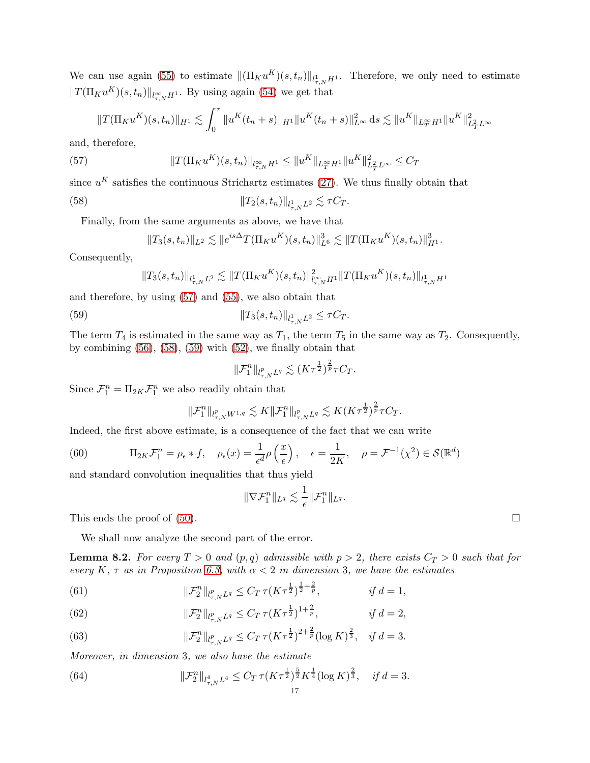We can use again [\(55\)](#page-15-0) to estimate  $\|(\Pi_K u^K)(s, t_n)\|_{l^1_{\tau,N}H^1}$ . Therefore, we only need to estimate  $||T(\Pi_K u^K)(s, t_n)||_{l_{\tau,N}^{\infty}H^1}$ . By using again [\(54\)](#page-15-1) we get that

$$
||T(\Pi_K u^K)(s,t_n)||_{H^1} \lesssim \int_0^\tau ||u^K(t_n+s)||_{H^1} ||u^K(t_n+s)||_{L^\infty}^2 ds \lesssim ||u^K||_{L^\infty_T H^1} ||u^K||_{L^2_T L^\infty}^2
$$

and, therefore,

(57) 
$$
||T(\Pi_K u^K)(s,t_n)||_{l_{\tau,N}^{\infty}H^1} \leq ||u^K||_{L_T^{\infty}H^1} ||u^K||_{L_T^2L^{\infty}}^2 \leq C_T
$$

since  $u^K$  satisfies the continuous Strichartz estimates [\(27\)](#page-7-3). We thus finally obtain that

(58) 
$$
||T_2(s,t_n)||_{l_{\tau,N}^1 L^2} \lesssim \tau C_T.
$$

Finally, from the same arguments as above, we have that

<span id="page-16-1"></span><span id="page-16-0"></span>
$$
||T_3(s,t_n)||_{L^2} \lesssim ||e^{is\Delta}T(\Pi_K u^K)(s,t_n)||_{L^6}^3 \lesssim ||T(\Pi_K u^K)(s,t_n)||_{H^1}^3.
$$

Consequently,

$$
||T_3(s,t_n)||_{l^1_{\tau,N}L^2} \lesssim ||T(\Pi_K u^K)(s,t_n)||_{l^\infty_{\tau,N}H^1}^2 ||T(\Pi_K u^K)(s,t_n)||_{l^1_{\tau,N}H^1}
$$

and therefore, by using [\(57\)](#page-16-0) and [\(55\)](#page-15-0), we also obtain that

(59) 
$$
||T_3(s,t_n)||_{l_{\tau,N}^1 L^2} \leq \tau C_T.
$$

The term  $T_4$  is estimated in the same way as  $T_1$ , the term  $T_5$  in the same way as  $T_2$ . Consequently, by combining  $(56)$ ,  $(58)$ ,  $(59)$  with  $(52)$ , we finally obtain that

<span id="page-16-2"></span>
$$
\|\mathcal{F}_1^n\|_{l^p_{\tau,N}L^q}\lesssim (K\tau^{\frac 12})^{\frac 2p}\tau C_T.
$$

Since  $\mathcal{F}_1^n = \Pi_{2K} \mathcal{F}_1^n$  we also readily obtain that

$$
\|\mathcal{F}_{1}^{n}\|_{l_{\tau,N}^{p}W^{1,q}} \lesssim K \|\mathcal{F}_{1}^{n}\|_{l_{\tau,N}^{p}L^{q}} \lesssim K (K\tau^{\frac{1}{2}})^{\frac{2}{p}} \tau C_{T}.
$$

Indeed, the first above estimate, is a consequence of the fact that we can write

<span id="page-16-4"></span>(60) 
$$
\Pi_{2K} \mathcal{F}_1^n = \rho_{\epsilon} * f, \quad \rho_{\epsilon}(x) = \frac{1}{\epsilon^d} \rho\left(\frac{x}{\epsilon}\right), \quad \epsilon = \frac{1}{2K}, \quad \rho = \mathcal{F}^{-1}(\chi^2) \in \mathcal{S}(\mathbb{R}^d)
$$

and standard convolution inequalities that thus yield

$$
\|\nabla \mathcal{F}^n_1\|_{L^q}\lesssim \frac{1}{\epsilon}\|\mathcal{F}^n_1\|_{L^q}.
$$

This ends the proof of  $(50)$ .

We shall now analyze the second part of the error.

<span id="page-16-6"></span>**Lemma 8.2.** For every  $T > 0$  and  $(p,q)$  admissible with  $p > 2$ , there exists  $C_T > 0$  such that for *every*  $K$ *,*  $\tau$  *as in Proposition [6.3,](#page-9-0) with*  $\alpha < 2$  *in dimension* 3*, we have the estimates* 

(61) 
$$
\|\mathcal{F}_2^n\|_{l^p_{\tau,N}L^q} \leq C_T \tau (K\tau^{\frac{1}{2}})^{\frac{1}{2}+\frac{2}{p}}, \qquad \text{if } d=1,
$$

(62) 
$$
\|\mathcal{F}_2^n\|_{l^p_{\tau,N}L^q} \leq C_T \,\tau (K\tau^{\frac{1}{2}})^{1+\frac{2}{p}}, \qquad \qquad \text{if } d=2,
$$

<span id="page-16-5"></span>(63) 
$$
\|\mathcal{F}_2^n\|_{l^p_{\tau,N}L^q} \leq C_T \,\tau (K\tau^{\frac{1}{2}})^{2+\frac{2}{p}}(\log K)^{\frac{2}{3}}, \quad \text{if } d=3.
$$

*Moreover, in dimension* 3*, we also have the estimate*

<span id="page-16-3"></span>(64) 
$$
\|\mathcal{F}_2^n\|_{l_{\tau,N}^4 L^4} \leq C_T \tau (K\tau^{\frac{1}{2}})^{\frac{5}{2}} K^{\frac{1}{4}} (\log K)^{\frac{2}{3}}, \quad \text{if } d = 3.
$$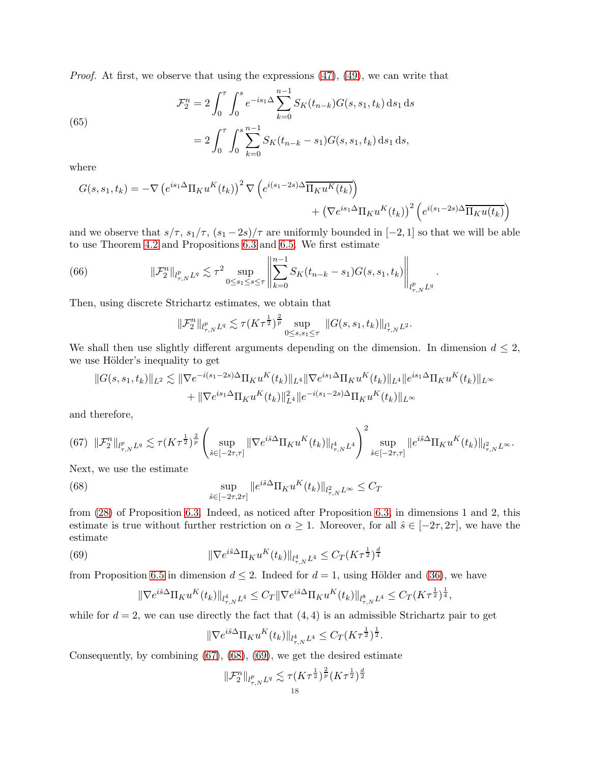*Proof.* At first, we observe that using the expressions  $(47)$ ,  $(49)$ , we can write that

(65)  

$$
\mathcal{F}_2^n = 2 \int_0^{\tau} \int_0^s e^{-is_1 \Delta} \sum_{k=0}^{n-1} S_K(t_{n-k}) G(s, s_1, t_k) ds_1 ds
$$

$$
= 2 \int_0^{\tau} \int_0^s \sum_{k=0}^{n-1} S_K(t_{n-k} - s_1) G(s, s_1, t_k) ds_1 ds,
$$

0  $J_0 \frac{1}{k=0}$ 

where

$$
G(s, s_1, t_k) = -\nabla \left(e^{is_1 \Delta} \Pi_K u^K(t_k)\right)^2 \nabla \left(e^{i(s_1 - 2s)\Delta} \overline{\Pi_K u^K(t_k)}\right) + \left(\nabla e^{is_1 \Delta} \Pi_K u^K(t_k)\right)^2 \left(e^{i(s_1 - 2s)\Delta} \overline{\Pi_K u(t_k)}\right)
$$

and we observe that  $s/\tau$ ,  $s_1/\tau$ ,  $(s_1-2s)/\tau$  are uniformly bounded in  $[-2,1]$  so that we will be able to use Theorem [4.2](#page-6-0) and Propositions [6.3](#page-9-0) and [6.5.](#page-11-0) We first estimate

(66) 
$$
\|\mathcal{F}_2^n\|_{l^p_{\tau,N}L^q} \lesssim \tau^2 \sup_{0 \leq s_1 \leq s \leq \tau} \left\|\sum_{k=0}^{n-1} S_K(t_{n-k}-s_1)G(s,s_1,t_k)\right\|_{l^p_{\tau,N}L^q}.
$$

Then, using discrete Strichartz estimates, we obtain that

$$
\|\mathcal{F}_{2}^{n}\|_{l_{\tau,N}^{p}L^{q}} \lesssim \tau (K\tau^{\frac{1}{2}})^{\frac{2}{p}} \sup_{0 \leq s,s_{1} \leq \tau} \|G(s,s_{1},t_{k})\|_{l_{\tau,N}^{1}L^{2}}.
$$

We shall then use slightly different arguments depending on the dimension. In dimension  $d \leq 2$ , we use Hölder's inequality to get

$$
||G(s, s_1, t_k)||_{L^2} \lesssim ||\nabla e^{-i(s_1 - 2s)\Delta} \Pi_K u^K(t_k)||_{L^4} ||\nabla e^{is_1 \Delta} \Pi_K u^K(t_k)||_{L^4} ||e^{is_1 \Delta} \Pi_K u^K(t_k)||_{L^\infty}
$$
  
+ 
$$
||\nabla e^{is_1 \Delta} \Pi_K u^K(t_k)||_{L^4}^2 ||e^{-i(s_1 - 2s)\Delta} \Pi_K u^K(t_k)||_{L^\infty}
$$

and therefore,

<span id="page-17-0"></span>
$$
(67)\ \ \|\mathcal{F}_{2}^{n}\|_{l_{\tau,N}^{p}L^{q}}\lesssim \tau (K\tau^{\frac{1}{2}})^{\frac{2}{p}}\left(\sup_{\hat{s}\in[-2\tau,\tau]}\|\nabla e^{i\hat{s}\Delta}\Pi_{K}u^{K}(t_{k})\|_{l_{\tau,N}^{4}L^{4}}\right)^{2}\sup_{\hat{s}\in[-2\tau,\tau]}\|e^{i\hat{s}\Delta}\Pi_{K}u^{K}(t_{k})\|_{l_{\tau,N}^{2}L^{\infty}}.
$$

Next, we use the estimate

(68) 
$$
\sup_{\hat{s}\in[-2\tau,2\tau]} \|e^{i\hat{s}\Delta} \Pi_K u^K(t_k)\|_{l^2_{\tau,N}L^\infty} \leq C_T
$$

from [\(28\)](#page-9-1) of Proposition [6.3.](#page-9-0) Indeed, as noticed after Proposition [6.3,](#page-9-0) in dimensions 1 and 2, this estimate is true without further restriction on  $\alpha \geq 1$ . Moreover, for all  $\hat{s} \in [-2\tau, 2\tau]$ , we have the estimate

(69) 
$$
\|\nabla e^{i\hat{s}\Delta} \Pi_K u^K(t_k)\|_{l^4_{\tau,N}L^4} \leq C_T (K\tau^{\frac{1}{2}})^{\frac{d}{4}}
$$

from Proposition [6.5](#page-11-0) in dimension  $d \leq 2$ . Indeed for  $d = 1$ , using Hölder and [\(36\)](#page-11-1), we have

<span id="page-17-1"></span>
$$
\|\nabla e^{i\hat{s}\Delta} \Pi_K u^K(t_k)\|_{l^4_{\tau,N}L^4} \leq C_T \|\nabla e^{i\hat{s}\Delta} \Pi_K u^K(t_k)\|_{l^8_{\tau,N}L^4} \leq C_T (K\tau^{\frac{1}{2}})^{\frac{1}{4}},
$$

while for  $d = 2$ , we can use directly the fact that  $(4, 4)$  is an admissible Strichartz pair to get

<span id="page-17-2"></span>
$$
\|\nabla e^{i\hat{s}\Delta} \Pi_K u^K(t_k)\|_{l^4_{\tau,N}L^4} \leq C_T (K\tau^{\frac{1}{2}})^{\frac{1}{2}}.
$$

Consequently, by combining [\(67\)](#page-17-0), [\(68\)](#page-17-1), [\(69\)](#page-17-2), we get the desired estimate

$$
\|\mathcal{F}_2^n\|_{l^p_{\tau,N}L^q} \lesssim \tau (K\tau^{\frac{1}{2}})^{\frac{2}{p}} (K\tau^{\frac{1}{2}})^{\frac{d}{2}}
$$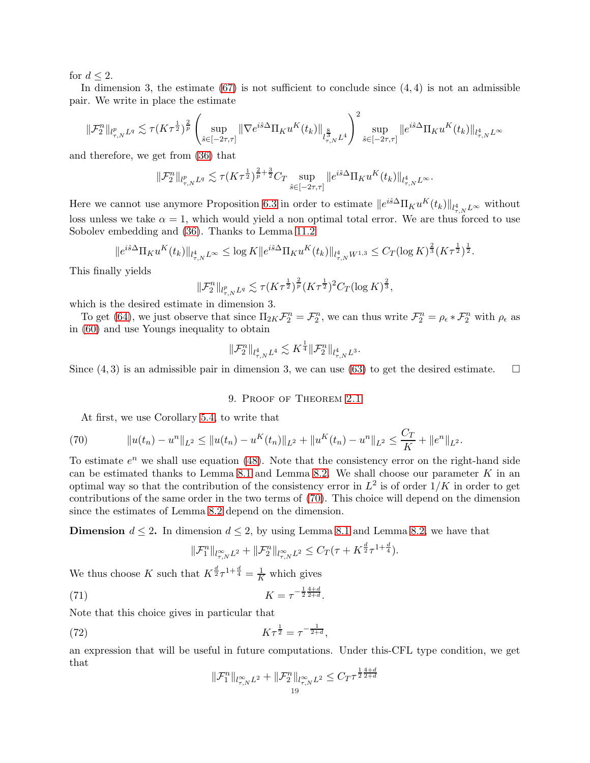for  $d \leq 2$ .

In dimension 3, the estimate  $(67)$  is not sufficient to conclude since  $(4, 4)$  is not an admissible pair. We write in place the estimate

$$
\|\mathcal{F}^n_2\|_{l^p_{\tau,N}L^q}\lesssim \tau (K\tau^{\frac 12})^{\frac 2p}\left(\sup_{\hat{s}\in[-2\tau,\tau]} \|\nabla e^{i\hat{s}\Delta} \Pi_Ku^K(t_k)\|_{l^{\frac 83}_{\tau,N}L^4}\right)^2\sup_{\hat{s}\in[-2\tau,\tau]} \|e^{i\hat{s}\Delta} \Pi_Ku^K(t_k)\|_{l^4_{\tau,N}L^\infty}
$$

and therefore, we get from [\(36\)](#page-11-1) that

$$
\|\mathcal{F}_{2}^{n}\|_{l_{\tau,N}^{p}L^{q}} \lesssim \tau (K\tau^{\frac{1}{2}})^{\frac{2}{p}+\frac{3}{2}}C_{T} \sup_{\hat{s}\in[-2\tau,\tau]} \|e^{i\hat{s}\Delta}\Pi_{K}u^{K}(t_{k})\|_{l_{\tau,N}^{4}L^{\infty}}.
$$

Here we cannot use anymore Proposition [6.3](#page-9-0) in order to estimate  $||e^{i\hat{s}\Delta} \Pi_K u^K(t_k)||_{l^4_{\tau,N}L^\infty}$  without loss unless we take  $\alpha = 1$ , which would yield a non optimal total error. We are thus forced to use Sobolev embedding and [\(36\)](#page-11-1). Thanks to Lemma [11.2](#page-27-5)

$$
\|e^{i\hat{s}\Delta}\Pi_K u^K(t_k)\|_{l^4_{\tau,N}L^\infty} \le \log K \|e^{i\hat{s}\Delta}\Pi_K u^K(t_k)\|_{l^4_{\tau,N}W^{1,3}} \le C_T (\log K)^{\frac{2}{3}} (K\tau^{\frac{1}{2}})^{\frac{1}{2}}.
$$

This finally yields

$$
\|\mathcal{F}_2^n\|_{l^p_{\tau,N}L^q} \lesssim \tau (K\tau^{\frac{1}{2}})^{\frac{2}{p}} (K\tau^{\frac{1}{2}})^2 C_T (\log K)^{\frac{2}{3}},
$$

which is the desired estimate in dimension 3.

To get [\(64\)](#page-16-3), we just observe that since  $\Pi_{2K}\mathcal{F}_2^n = \mathcal{F}_2^n$ , we can thus write  $\mathcal{F}_2^n = \rho_\epsilon * \mathcal{F}_2^n$  with  $\rho_\epsilon$  as in [\(60\)](#page-16-4) and use Youngs inequality to obtain

$$
\|\mathcal{F}^n_2\|_{l^4_{\tau,N}L^4}\lesssim K^{\frac{1}{4}}\|\mathcal{F}^n_2\|_{l^4_{\tau,N}L^3}.
$$

<span id="page-18-0"></span>Since  $(4,3)$  is an admissible pair in dimension 3, we can use [\(63\)](#page-16-5) to get the desired estimate.  $\square$ 

#### 9. Proof of Theorem [2.1](#page-3-2)

<span id="page-18-1"></span>At first, we use Corollary [5.4,](#page-7-4) to write that

(70) 
$$
||u(t_n) - u^n||_{L^2} \le ||u(t_n) - u^K(t_n)||_{L^2} + ||u^K(t_n) - u^n||_{L^2} \le \frac{C_T}{K} + ||e^n||_{L^2}.
$$

To estimate  $e^n$  we shall use equation [\(48\)](#page-14-6). Note that the consistency error on the right-hand side can be estimated thanks to Lemma [8.1](#page-14-7) and Lemma [8.2.](#page-16-6) We shall choose our parameter  $K$  in an optimal way so that the contribution of the consistency error in  $L^2$  is of order  $1/K$  in order to get contributions of the same order in the two terms of [\(70\)](#page-18-1). This choice will depend on the dimension since the estimates of Lemma [8.2](#page-16-6) depend on the dimension.

**Dimension**  $d \leq 2$ . In dimension  $d \leq 2$ , by using Lemma [8.1](#page-14-7) and Lemma [8.2,](#page-16-6) we have that

<span id="page-18-2"></span>
$$
\|\mathcal{F}_{1}^{n}\|_{l^{\infty}_{\tau,N}L^{2}}+\|\mathcal{F}_{2}^{n}\|_{l^{\infty}_{\tau,N}L^{2}}\leq C_{T}(\tau+K^{\frac{d}{2}}\tau^{1+\frac{d}{4}}).
$$

We thus choose K such that  $K^{\frac{d}{2}} \tau^{1+\frac{d}{4}} = \frac{1}{K}$  which gives

(71) 
$$
K = \tau^{-\frac{1}{2}\frac{4+d}{2+d}}.
$$

Note that this choice gives in particular that

(72) 
$$
K\tau^{\frac{1}{2}} = \tau^{-\frac{1}{2+d}},
$$

an expression that will be useful in future computations. Under this-CFL type condition, we get that

$$
\|\mathcal{F}_1^n\|_{l_{\tau,N}^{\infty}L^2} + \|\mathcal{F}_2^n\|_{l_{\tau,N}^{\infty}L^2} \le C_T \tau^{\frac{1}{2}\frac{4+d}{2+d}}
$$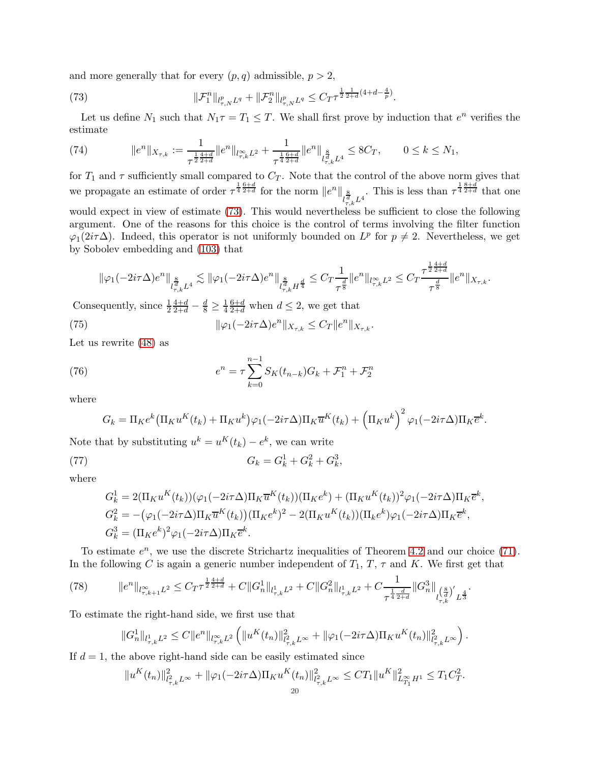and more generally that for every  $(p, q)$  admissible,  $p > 2$ ,

<span id="page-19-0"></span>(73) 
$$
\|\mathcal{F}_1^n\|_{l^p_{\tau,N}L^q} + \|\mathcal{F}_2^n\|_{l^p_{\tau,N}L^q} \leq C_T \tau^{\frac{1}{2}\frac{1}{2+d}(4+d-\frac{4}{p})}.
$$

Let us define  $N_1$  such that  $N_1 \tau = T_1 \leq T$ . We shall first prove by induction that  $e^n$  verifies the estimate

<span id="page-19-3"></span>(74) 
$$
||e^n||_{X_{\tau,k}} := \frac{1}{\tau^{\frac{1}{2}\frac{4+d}{2+d}}}||e^n||_{l_{\tau,k}^{\infty}L^2} + \frac{1}{\tau^{\frac{1}{4}\frac{6+d}{2+d}}}||e^n||_{l_{\tau,k}^{\frac{8}{d}}L^4} \leq 8C_T, \qquad 0 \leq k \leq N_1,
$$

for  $T_1$  and  $\tau$  sufficiently small compared to  $C_T$ . Note that the control of the above norm gives that we propagate an estimate of order  $\tau^{\frac{1}{4}\frac{6+d}{2+d}}$  for the norm  $||e^n||_{l^{\frac{8}{d}}_{\tau,k}L^4}$ . This is less than  $\tau^{\frac{1}{4}\frac{8+d}{2+d}}$  that one would expect in view of estimate [\(73\)](#page-19-0). This would nevertheless be sufficient to close the following argument. One of the reasons for this choice is the control of terms involving the filter function  $\varphi_1(2i\tau\Delta)$ . Indeed, this operator is not uniformly bounded on  $L^p$  for  $p \neq 2$ . Nevertheless, we get by Sobolev embedding and [\(103\)](#page-26-2) that

<span id="page-19-2"></span>
$$
\|\varphi_1(-2i\tau\Delta)e^n\|_{l_{\tau,k}^{\frac{8}{d}}L^4}\lesssim \|\varphi_1(-2i\tau\Delta)e^n\|_{l_{\tau,k}^{\frac{8}{d}}H^{\frac{d}{4}}}\leq C_T\frac{1}{\tau^{\frac{d}{8}}}\|e^n\|_{l_{\tau,k}^\infty L^2}\leq C_T\frac{\tau^{\frac{1}{2}\frac{4+d}{2+d}}}{\tau^{\frac{d}{8}}}\|e^n\|_{X_{\tau,k}}.
$$

Consequently, since  $\frac{1}{2}$  $\frac{4+d}{2+d} - \frac{d}{8} \geq \frac{1}{4}$ 4  $\frac{6+d}{2+d}$  when  $d \leq 2$ , we get that

(75) 
$$
\|\varphi_1(-2i\tau\Delta)e^n\|_{X_{\tau,k}} \leq C_T \|e^n\|_{X_{\tau,k}}.
$$

Let us rewrite [\(48\)](#page-14-6) as

(76) 
$$
e^{n} = \tau \sum_{k=0}^{n-1} S_{K}(t_{n-k}) G_{k} + \mathcal{F}_{1}^{n} + \mathcal{F}_{2}^{n}
$$

where

<span id="page-19-4"></span>
$$
G_k = \Pi_K e^k \left( \Pi_K u^K(t_k) + \Pi_K u^k \right) \varphi_1(-2i\tau \Delta) \Pi_K \overline{u}^K(t_k) + \left( \Pi_K u^k \right)^2 \varphi_1(-2i\tau \Delta) \Pi_K \overline{e}^k.
$$

Note that by substituting  $u^k = u^K(t_k) - e^k$ , we can write

(77) 
$$
G_k = G_k^1 + G_k^2 + G_k^3,
$$

where

$$
G_k^1 = 2(\Pi_K u^K(t_k))(\varphi_1(-2i\tau\Delta)\Pi_K \overline{u}^K(t_k))(\Pi_K e^k) + (\Pi_K u^K(t_k))^2 \varphi_1(-2i\tau\Delta)\Pi_K \overline{e}^k,
$$
  
\n
$$
G_k^2 = -(\varphi_1(-2i\tau\Delta)\Pi_K \overline{u}^K(t_k))(\Pi_K e^k)^2 - 2(\Pi_K u^K(t_k))(\Pi_k e^k)\varphi_1(-2i\tau\Delta)\Pi_K \overline{e}^k,
$$
  
\n
$$
G_k^3 = (\Pi_K e^k)^2 \varphi_1(-2i\tau\Delta)\Pi_K \overline{e}^k.
$$

To estimate  $e^n$ , we use the discrete Strichartz inequalities of Theorem [4.2](#page-6-0) and our choice [\(71\)](#page-18-2). In the following C is again a generic number independent of  $T_1$ ,  $T$ ,  $\tau$  and K. We first get that

$$
(78) \qquad \qquad \|e^{n}\|_{l^{\infty}_{\tau,k+1}L^{2}} \leq C_{T}\tau^{\frac{1}{2}\frac{4+d}{2+d}} + C\|G_{n}^{1}\|_{l^{1}_{\tau,k}L^{2}} + C\|G_{n}^{2}\|_{l^{1}_{\tau,k}L^{2}} + C\frac{1}{\tau^{\frac{1}{4}\frac{d}{2+d}}}\|G_{n}^{3}\|_{l^{\left(\frac{8}{d}\right)'}_{\tau,k}L^{\frac{4}{3}}}.
$$

To estimate the right-hand side, we first use that

<span id="page-19-1"></span>
$$
\|G_n^1\|_{l^1_{\tau,k}L^2}\leq C\|e^n\|_{l^\infty_{\tau,k}L^2}\left(\|u^K(t_n)\|_{l^2_{\tau,k}L^\infty}^2+\|\varphi_1(-2i\tau\Delta)\Pi_Ku^K(t_n)\|_{l^2_{\tau,k}L^\infty}^2\right).
$$

If  $d = 1$ , the above right-hand side can be easily estimated since

$$
||u^K(t_n)||_{l^2_{\tau,k}L^\infty}^2 + ||\varphi_1(-2i\tau\Delta)\Pi_K u^K(t_n)||_{l^2_{\tau,k}L^\infty}^2 \le CT_1||u^K||_{L^{\infty}_{T_1}H^1}^2 \le T_1C_T^2.
$$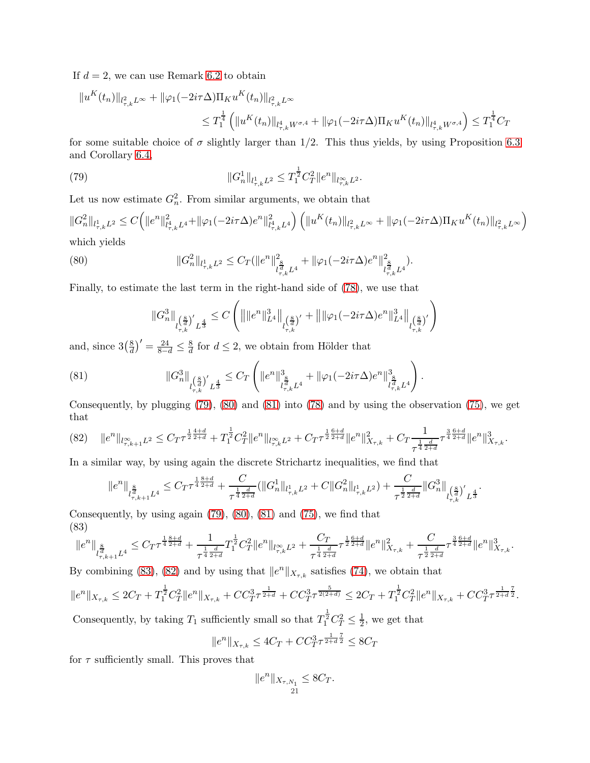If  $d = 2$ , we can use Remark [6.2](#page-8-1) to obtain

$$
||u^K(t_n)||_{l^2_{\tau,k}L^\infty} + ||\varphi_1(-2i\tau\Delta)\Pi_K u^K(t_n)||_{l^2_{\tau,k}L^\infty}
$$
  

$$
\leq T_1^{\frac{1}{4}} \left( ||u^K(t_n)||_{l^4_{\tau,k}W^{\sigma,4}} + ||\varphi_1(-2i\tau\Delta)\Pi_K u^K(t_n)||_{l^4_{\tau,k}W^{\sigma,4}} \right) \leq T_1^{\frac{1}{4}}C_T
$$

for some suitable choice of  $\sigma$  slightly larger than 1/2. This thus yields, by using Proposition [6.3](#page-9-0) and Corollary [6.4,](#page-9-5)

(79) 
$$
||G_n^1||_{l_{\tau,k}^1 L^2} \leq T_1^{\frac{1}{2}} C_T^2 ||e^n||_{l_{\tau,k}^{\infty} L^2}.
$$

Let us now estimate  $G_n^2$ . From similar arguments, we obtain that

 $||G_n^2||_{l_{\tau,k}^1L^2}\leq C\Big(\|e^n\|_{l_{\tau}^q}^2$  $\frac{2}{l_{\tau,k}^4 L^4} + \|\varphi_1(-2i\tau\Delta)e^n\|^2_{l_{\tau,k}^4}$  $\int_{t_{\tau,k}^4L^4}^2\!\bigg)\,\Big(\|u^K(t_n)\|_{l_{\tau,k}^2L^\infty}+\|\varphi_1(-2i\tau\Delta)\Pi_Ku^K(t_n)\|_{l_{\tau,k}^2L^\infty}$  $\overline{ }$ which yields

(80) 
$$
||G_n^2||_{l_{\tau,k}^1L^2} \leq C_T(||e^n||_{l_{\tau,k}^{\frac{8}{d}}L^4}^2 + ||\varphi_1(-2i\tau\Delta)e^n||_{l_{\tau,k}^{\frac{8}{d}}L^4}^2).
$$

Finally, to estimate the last term in the right-hand side of [\(78\)](#page-19-1), we use that

<span id="page-20-2"></span><span id="page-20-1"></span><span id="page-20-0"></span>
$$
\|G_n^3\|_{l_{\tau,k}^{(\frac 8d)'}L^{\frac 43}}\leq C\left(\big\|\|e^n\|_{L^4}^3\big\|_{l_{\tau,k}^{(\frac 8d)'} }+\big\|\|\varphi_1(-2i\tau\Delta)e^n\|_{L^4}^3\big\|_{l_{\tau,k}^{(\frac 8d)'} }\right)
$$

and, since  $3(\frac{8}{d})$  $\left(\frac{8}{d}\right)' = \frac{24}{8-d} \leq \frac{8}{d}$  $\frac{8}{d}$  for  $d \leq 2$ , we obtain from Hölder that

(81) 
$$
\|G_n^3\|_{l_{\tau,k}^{\left(\frac{8}{d}\right)'}L^{\frac{4}{3}}}\leq C_T\left(\|e^n\|_{l_{\tau,k}^{\frac{8}{d}}L^4}^3+\|\varphi_1(-2i\tau\Delta)e^n\|_{l_{\tau,k}^{\frac{8}{d}}L^4}^3\right).
$$

Consequently, by plugging [\(79\)](#page-20-0), [\(80\)](#page-20-1) and [\(81\)](#page-20-2) into [\(78\)](#page-19-1) and by using the observation [\(75\)](#page-19-2), we get that

<span id="page-20-4"></span>
$$
(82)\quad \|e^n\|_{l^{\infty}_{\tau,k+1}L^2}\leq C_T\tau^{\frac{1}{2}\frac{4+d}{2+d}}+T_1^{\frac{1}{2}}C_T^2\|e^n\|_{l^{\infty}_{\tau,k}L^2}+C_T\tau^{\frac{1}{2}\frac{6+d}{2+d}}\|e^n\|^2_{X_{\tau,k}}+C_T\frac{1}{\tau^{\frac{1}{4}\frac{d}{2+d}}}\tau^{\frac{3}{4}\frac{6+d}{2+d}}\|e^n\|^3_{X_{\tau,k}}.
$$

In a similar way, by using again the discrete Strichartz inequalities, we find that

$$
\|e^n\|_{l^{\frac{8}{d}}_{\tau,k+1}L^4}\leq C_T \tau^{\frac{1}{4}\frac{8+d}{2+d}}+\frac{C}{\tau^{\frac{1}{4}\frac{d}{2+d}}}(\|G_n^1\|_{l^1_{\tau,k}L^2}+C\|G_n^2\|_{l^1_{\tau,k}L^2})+\frac{C}{\tau^{\frac{1}{2}\frac{d}{2+d}}}\|G_n^3\|_{l^{\left(\frac{8}{d}\right)'}_{\tau,k}L^{\frac{4}{3}}}.
$$

Consequently, by using again  $(79)$ ,  $(80)$ ,  $(81)$  and  $(75)$ , we find that (83)

<span id="page-20-3"></span>
$$
\|e^n\|_{l^{\frac{8}{d}}_{\tau,k+1}L^4}\leq C_T \tau^{\frac{1}{4}\frac{8+d}{2+d}}+\frac{1}{\tau^{\frac{1}{4}\frac{d}{2+d}}}T_1^{\frac{1}{2}}C_T^2\|e^n\|_{l^\infty_{\tau,k}L^2}+\frac{C_T}{\tau^{\frac{1}{4}\frac{d}{2+d}}}\tau^{\frac{1}{2}\frac{6+d}{2+d}}\|e^n\|^2_{X_{\tau,k}}+\frac{C}{\tau^{\frac{1}{2}\frac{d}{2+d}}}\tau^{\frac{3}{4}\frac{6+d}{2+d}}\|e^n\|^3_{X_{\tau,k}}.
$$

By combining [\(83\)](#page-20-3), [\(82\)](#page-20-4) and by using that  $||e^n||_{X_{\tau,k}}$  satisfies [\(74\)](#page-19-3), we obtain that

$$
\|e^n\|_{X_{\tau,k}}\leq 2C_T+T_1^\frac12C_T^2\|e^n\|_{X_{\tau,k}}+CC_T^3\tau^\frac{1}{2+d}+CC_T^3\tau^\frac{5}{2(2+d)}\leq 2C_T+T_1^\frac12C_T^2\|e^n\|_{X_{\tau,k}}+CC_T^3\tau^\frac{1}{2+d\frac{7}{2}}.
$$

Consequently, by taking  $T_1$  sufficiently small so that  $T_1^{\frac{1}{2}}C_T^2 \leq \frac{1}{2}$  $\frac{1}{2}$ , we get that

$$
||e^n||_{X_{\tau,k}} \le 4C_T + CC_T^3 \tau^{\frac{1}{2+d}\frac{7}{2}} \le 8C_T
$$

for  $\tau$  sufficiently small. This proves that

$$
||e^n||_{X_{\tau,N_1}} \leq 8C_T.
$$
  
21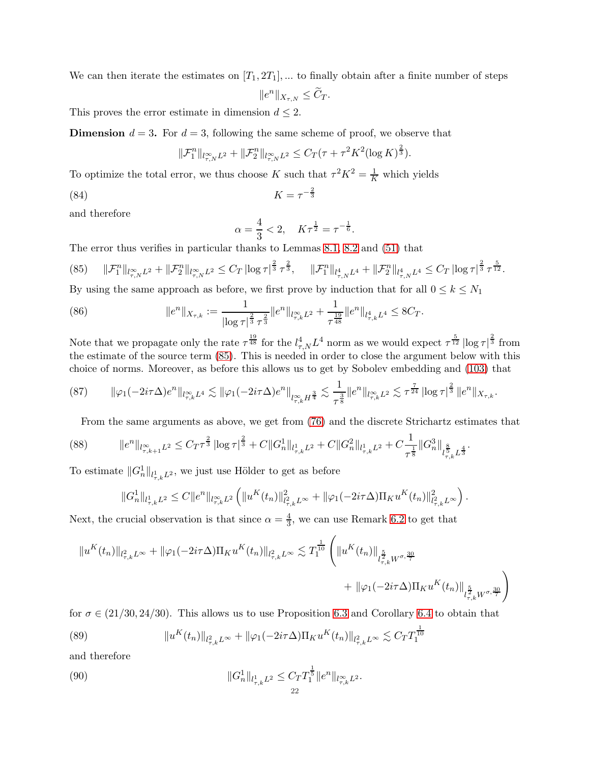We can then iterate the estimates on  $[T_1, 2T_1]$ , ... to finally obtain after a finite number of steps

$$
||e^n||_{X_{\tau,N}} \leq \widetilde{C}_T.
$$

This proves the error estimate in dimension  $d \leq 2$ .

**Dimension**  $d = 3$ . For  $d = 3$ , following the same scheme of proof, we observe that

$$
\|\mathcal{F}_1^n\|_{l_{\tau,N}^{\infty}L^2} + \|\mathcal{F}_2^n\|_{l_{\tau,N}^{\infty}L^2} \le C_T(\tau + \tau^2 K^2 (\log K)^{\frac{2}{3}}).
$$

To optimize the total error, we thus choose K such that  $\tau^2 K^2 = \frac{1}{K}$  which yields

$$
(84) \t\t K = \tau^{-\frac{2}{3}}
$$

and therefore

$$
\alpha = \frac{4}{3} < 2, \quad K\tau^{\frac{1}{2}} = \tau^{-\frac{1}{6}}.
$$

The error thus verifies in particular thanks to Lemmas [8.1,](#page-14-7) [8.2](#page-16-6) and [\(51\)](#page-14-8) that

<span id="page-21-0"></span>
$$
(85) \qquad \|\mathcal{F}_{1}^{n}\|_{l_{\tau,N}^{\infty}L^{2}} + \|\mathcal{F}_{2}^{n}\|_{l_{\tau,N}^{\infty}L^{2}} \leq C_{T} \left| \log \tau \right|^{\frac{2}{3}} \tau^{\frac{2}{3}}, \qquad \|\mathcal{F}_{1}^{n}\|_{l_{\tau,N}^{4}L^{4}} + \|\mathcal{F}_{2}^{n}\|_{l_{\tau,N}^{4}L^{4}} \leq C_{T} \left| \log \tau \right|^{\frac{2}{3}} \tau^{\frac{5}{12}}.
$$

By using the same approach as before, we first prove by induction that for all  $0 \leq k \leq N_1$ 

(86) 
$$
||e^n||_{X_{\tau,k}} := \frac{1}{|\log \tau|^{\frac{2}{3}} \tau^{\frac{2}{3}}} ||e^n||_{l_{\tau,k}^{\infty} L^2} + \frac{1}{\tau^{\frac{19}{48}}} ||e^n||_{l_{\tau,k}^4 L^4} \leq 8C_T.
$$

Note that we propagate only the rate  $\tau^{\frac{19}{48}}$  for the  $l_{\tau,N}^4 L^4$  norm as we would expect  $\tau^{\frac{5}{12}} |\log \tau|^{\frac{2}{3}}$  from the estimate of the source term [\(85\)](#page-21-0). This is needed in order to close the argument below with this choice of norms. Moreover, as before this allows us to get by Sobolev embedding and [\(103\)](#page-26-2) that

<span id="page-21-2"></span>
$$
(87) \qquad \|\varphi_1(-2i\tau\Delta)e^n\|_{l_{\tau,k}^{\infty}L^4}\lesssim \|\varphi_1(-2i\tau\Delta)e^n\|_{l_{\tau,k}^{\infty}H^{\frac{3}{4}}}\lesssim \frac{1}{\tau^{\frac{3}{8}}}\|e^n\|_{l_{\tau,k}^{\infty}L^2}\lesssim \tau^{\frac{7}{24}}\left|\log\tau\right|^{\frac{2}{3}}\|e^n\|_{X_{\tau,k}}.
$$

<span id="page-21-3"></span>From the same arguments as above, we get from [\(76\)](#page-19-4) and the discrete Strichartz estimates that

$$
(88) \qquad \qquad \|e^{n}\|_{l_{\tau,k+1}^{\infty}L^{2}} \leq C_{T}\tau^{\frac{2}{3}}\left|\log \tau\right|^{\frac{2}{3}} + C\|G_{n}^{1}\|_{l_{\tau,k}^{1}L^{2}} + C\|G_{n}^{2}\|_{l_{\tau,k}^{1}L^{2}} + C\frac{1}{\tau^{\frac{1}{8}}}\|G_{n}^{3}\|_{l_{\tau,k}^{\frac{8}{3}}L^{\frac{4}{3}}}.
$$

To estimate  $||G_n^1||_{l_{\tau,k}^1L^2}$ , we just use Hölder to get as before

$$
\|G_n^1\|_{l^1_{\tau,k}L^2}\leq C\|e^n\|_{l^\infty_{\tau,k}L^2}\left(\|u^K(t_n)\|_{l^2_{\tau,k}L^\infty}^2+\|\varphi_1(-2i\tau\Delta)\Pi_Ku^K(t_n)\|_{l^2_{\tau,k}L^\infty}^2\right).
$$

Next, the crucial observation is that since  $\alpha = \frac{4}{3}$  $\frac{4}{3}$ , we can use Remark [6.2](#page-8-1) to get that

$$
\begin{aligned} \|u^K(t_n)\|_{l^2_{\tau,k}L^\infty}+\|\varphi_1(-2i\tau\Delta)\Pi_Ku^K(t_n)\|_{l^2_{\tau,k}L^\infty}&\lesssim T_1^\frac{1}{10}\left(\|u^K(t_n)\|_{l^{\frac{5}{2}}_{\tau,k}W^{\sigma,\frac{30}{7}}}\right)\\ &\qquad+\|\varphi_1(-2i\tau\Delta)\Pi_Ku^K(t_n)\|_{l^{\frac{5}{2}}_{\tau,k}W^{\sigma,\frac{30}{7}}}\right) \end{aligned}
$$

for  $\sigma \in (21/30, 24/30)$ . This allows us to use Proposition [6.3](#page-9-0) and Corollary [6.4](#page-9-5) to obtain that

<span id="page-21-1"></span>(89) 
$$
||u^K(t_n)||_{l^2_{\tau,k}L^\infty} + ||\varphi_1(-2i\tau\Delta)\Pi_K u^K(t_n)||_{l^2_{\tau,k}L^\infty} \lesssim C_T T_1^{\frac{1}{10}}
$$

and therefore

<span id="page-21-4"></span>(90) 
$$
||G_n^1||_{l_{\tau,k}^1 L^2} \leq C_T T_1^{\frac{1}{5}} ||e^n||_{l_{\tau,k}^{\infty} L^2}.
$$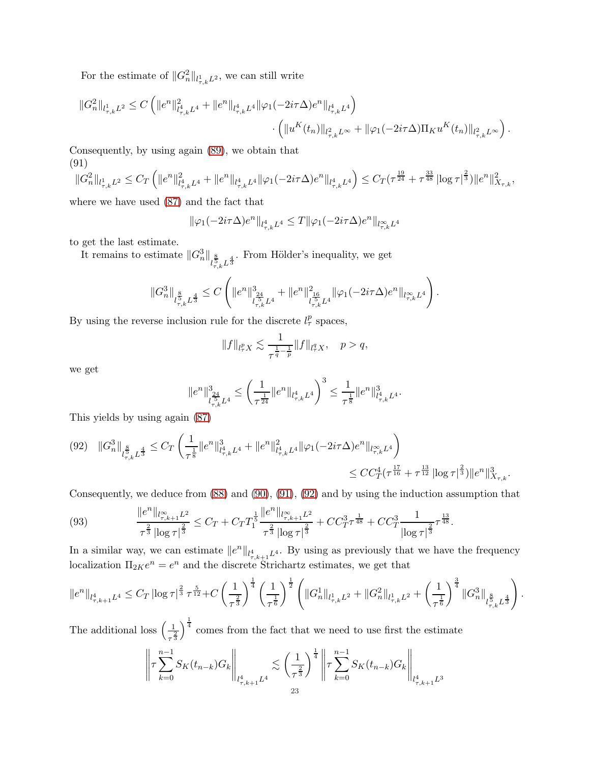For the estimate of  $||G_n^2||_{l_{\tau,k}^1L^2}$ , we can still write

$$
\label{eq:2.1} \begin{split} \|G^2_n\|_{l^1_{\tau,k}L^2} \leq C\left(\|e^n\|_{l^4_{\tau,k}L^4}^2+\|e^n\|_{l^4_{\tau,k}L^4}\|\varphi_1(-2i\tau\Delta)e^n\|_{l^4_{\tau,k}L^4}\right)\\ &\qquad\cdot\left(\|u^K(t_n)\|_{l^2_{\tau,k}L^\infty}+\|\varphi_1(-2i\tau\Delta)\Pi_Ku^K(t_n)\|_{l^2_{\tau,k}L^\infty}\right). \end{split}
$$

Consequently, by using again [\(89\)](#page-21-1), we obtain that (91)

<span id="page-22-0"></span>
$$
\|G_n^2\|_{l^1_{\tau,k}L^2} \leq C_T \left( \|e^n\|_{l^4_{\tau,k}L^4}^2 + \|e^n\|_{l^4_{\tau,k}L^4} \|\varphi_1(-2i\tau\Delta)e^n\|_{l^4_{\tau,k}L^4} \right) \leq C_T (\tau^{\frac{19}{24}} + \tau^{\frac{33}{48}} |\log \tau|^{\frac{2}{3}}) \|e^n\|_{X_{\tau,k}}^2,
$$

where we have used [\(87\)](#page-21-2) and the fact that

$$
\|\varphi_1(-2i\tau\Delta)e^n\|_{l^4_{\tau,k}L^4}\leq T\|\varphi_1(-2i\tau\Delta)e^n\|_{l^\infty_{\tau,k}L^4}
$$

to get the last estimate.

It remains to estimate  $||G_n^3||_{l_{\tau,k}^{\frac{8}{5}}L^{\frac{4}{3}}}$ . From Hölder's inequality, we get

$$
\|G_n^3\|_{l_{\tau,k}^\frac 85 L^{\frac 43}}\leq C\left(\|e^n\|_{l_{\tau,k}^\frac{34}{5}L^4}^3+\|e^n\|_{l_{\tau,k}^\frac{16}{5}L^4}^2\|\varphi_1(-2i\tau\Delta)e^n\|_{l_{\tau,k}^\infty L^4}\right).
$$

By using the reverse inclusion rule for the discrete  $l^p_\tau$  spaces,

$$
||f||_{l^p_\tau X} \lesssim \frac{1}{\tau^{\frac{1}{q}-\frac{1}{p}}} ||f||_{l^q_\tau X}, \quad p > q,
$$

we get

$$
\|e^n\|_{l^{\frac{5_4}{5}}_{\tau,k}L^4}^3\leq \left(\frac{1}{\tau^{\frac{1}{24}}}\|e^n\|_{l^4_{\tau,k}L^4}\right)^3\leq \frac{1}{\tau^{\frac{1}{8}}}\|e^n\|_{l^4_{\tau,k}L^4}^3.
$$

This yields by using again [\(87\)](#page-21-2)

<span id="page-22-1"></span>
$$
(92)\quad ||G_{n}^{3}||_{l_{\tau,k}^{\frac{8}{5}}L^{\frac{4}{3}}} \leq C_{T} \left( \frac{1}{\tau^{\frac{1}{8}} } ||e^{n}||_{l_{\tau,k}^{4}L^{4}}^{3} + ||e^{n}||_{l_{\tau,k}^{4}L^{4}}^{2} ||\varphi_{1}(-2i\tau\Delta)e^{n}||_{l_{\tau,k}^{\infty}L^{4}} \right) \leq CC_{T}^{4}(\tau^{\frac{17}{16}} + \tau^{\frac{13}{12}} ||\log \tau|^{\frac{2}{3}}) ||e^{n}||_{X_{\tau,k}^{3}}^{3}.
$$

Consequently, we deduce from [\(88\)](#page-21-3) and [\(90\)](#page-21-4), [\(91\)](#page-22-0), [\(92\)](#page-22-1) and by using the induction assumption that

<span id="page-22-2"></span>(93) 
$$
\frac{\|e^n\|_{l^{\infty}_{\tau,k+1}L^2}}{\tau^{\frac{2}{3}}\left|\log \tau\right|^{\frac{2}{3}}} \leq C_T + C_T T_1^{\frac{1}{5}} \frac{\|e^n\|_{l^{\infty}_{\tau,k+1}L^2}}{\tau^{\frac{2}{3}}\left|\log \tau\right|^{\frac{2}{3}}} + CC_T^3 \tau^{\frac{1}{48}} + CC_T^3 \frac{1}{\left|\log \tau\right|^{\frac{2}{3}}}\tau^{\frac{13}{48}}.
$$

In a similar way, we can estimate  $||e^n||_{l^4_{\tau,k+1}L^4}$ . By using as previously that we have the frequency localization  $\Pi_{2K}e^n = e^n$  and the discrete Strichartz estimates, we get that

$$
\|e^n\|_{l^4_{\tau,k+1}L^4}\leq C_T\left|\log \tau\right|^{\frac{2}{3}}\tau^{\frac{5}{12}}+C\left(\frac{1}{\tau^{\frac{2}{3}}}\right)^{\frac{1}{4}}\left(\frac{1}{\tau^{\frac{1}{6}}}\right)^{\frac{1}{2}}\left(\|G_n^1\|_{l^1_{\tau,k}L^2}+\|G_n^2\|_{l^1_{\tau,k}L^2}+\left(\frac{1}{\tau^{\frac{1}{6}}}\right)^{\frac{3}{4}}\|G_n^3\|_{l^{\frac{8}{5}}_{\tau,k}L^{\frac{4}{3}}}\right).
$$

The additional loss  $\left(\frac{1}{2}\right)$  $\overline{\tau^{\frac{2}{3}}}$  $\int_{0}^{\frac{1}{4}}$  comes from the fact that we need to use first the estimate

$$
\left\| \tau \sum_{k=0}^{n-1} S_K(t_{n-k}) G_k \right\|_{l^4_{\tau,k+1} L^4} \lesssim \left( \frac{1}{\tau^{\frac{2}{3}}} \right)^{\frac{1}{4}} \left\| \tau \sum_{k=0}^{n-1} S_K(t_{n-k}) G_k \right\|_{l^4_{\tau,k+1} L^3}
$$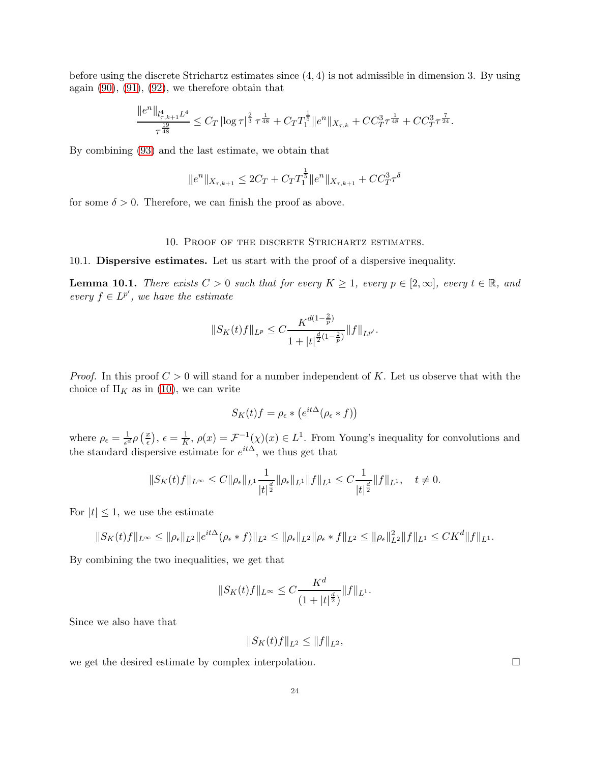before using the discrete Strichartz estimates since (4, 4) is not admissible in dimension 3. By using again  $(90)$ ,  $(91)$ ,  $(92)$ , we therefore obtain that

$$
\frac{\|e^n\|_{l^4_{\tau,k+1}L^4}}{\tau^{\frac{19}{48}}}\leq C_T\left|\log\tau\right|^{\frac{2}{3}}\tau^{\frac{1}{48}}+C_T T_1^{\frac{1}{5}}\|e^n\|_{X_{\tau,k}}+CC_T^3\tau^{\frac{1}{48}}+CC_T^3\tau^{\frac{7}{24}}.
$$

By combining [\(93\)](#page-22-2) and the last estimate, we obtain that

$$
||e^n||_{X_{\tau,k+1}} \le 2C_T + C_T T_1^{\frac{1}{5}} ||e^n||_{X_{\tau,k+1}} + C C_T^3 \tau^{\delta}
$$

<span id="page-23-0"></span>for some  $\delta > 0$ . Therefore, we can finish the proof as above.

### 10. Proof of the discrete Strichartz estimates.

10.1. Dispersive estimates. Let us start with the proof of a dispersive inequality.

<span id="page-23-1"></span>**Lemma 10.1.** *There exists*  $C > 0$  *such that for every*  $K \geq 1$ *, every*  $p \in [2, \infty]$ *, every*  $t \in \mathbb{R}$ *, and every*  $f \in L^{p'}$ , we have the estimate

$$
||S_K(t)f||_{L^p}\leq C\frac{K^{d(1-\frac{2}{p})}}{1+|t|^{\frac{d}{2}(1-\frac{2}{p})}}||f||_{L^{p'}}.
$$

*Proof.* In this proof  $C > 0$  will stand for a number independent of K. Let us observe that with the choice of  $\Pi_K$  as in [\(10\)](#page-2-1), we can write

$$
S_K(t)f = \rho_{\epsilon} * (e^{it\Delta}(\rho_{\epsilon} * f))
$$

where  $\rho_{\epsilon} = \frac{1}{\epsilon^{\epsilon}}$  $\frac{1}{\epsilon^d} \rho\left(\frac{x}{\epsilon}\right)$  $(\frac{x}{\epsilon}), \epsilon = \frac{1}{K}$  $\frac{1}{K}$ ,  $\rho(x) = \mathcal{F}^{-1}(\chi)(x) \in L^1$ . From Young's inequality for convolutions and the standard dispersive estimate for  $e^{it\Delta}$ , we thus get that

$$
||S_K(t)f||_{L^{\infty}} \leq C||\rho_{\epsilon}||_{L^1} \frac{1}{|t|^{\frac{d}{2}}} ||\rho_{\epsilon}||_{L^1} ||f||_{L^1} \leq C \frac{1}{|t|^{\frac{d}{2}}} ||f||_{L^1}, \quad t \neq 0.
$$

For  $|t| \leq 1$ , we use the estimate

$$
||S_K(t)f||_{L^{\infty}} \leq ||\rho_{\epsilon}||_{L^2} ||e^{it\Delta}(\rho_{\epsilon} * f)||_{L^2} \leq ||\rho_{\epsilon}||_{L^2} ||\rho_{\epsilon} * f||_{L^2} \leq ||\rho_{\epsilon}||_{L^2}^2 ||f||_{L^1} \leq CK^d ||f||_{L^1}.
$$

By combining the two inequalities, we get that

$$
||S_K(t)f||_{L^{\infty}} \leq C \frac{K^d}{(1+|t|^{\frac{d}{2}})} ||f||_{L^1}.
$$

Since we also have that

$$
||S_K(t)f||_{L^2} \leq ||f||_{L^2},
$$

we get the desired estimate by complex interpolation.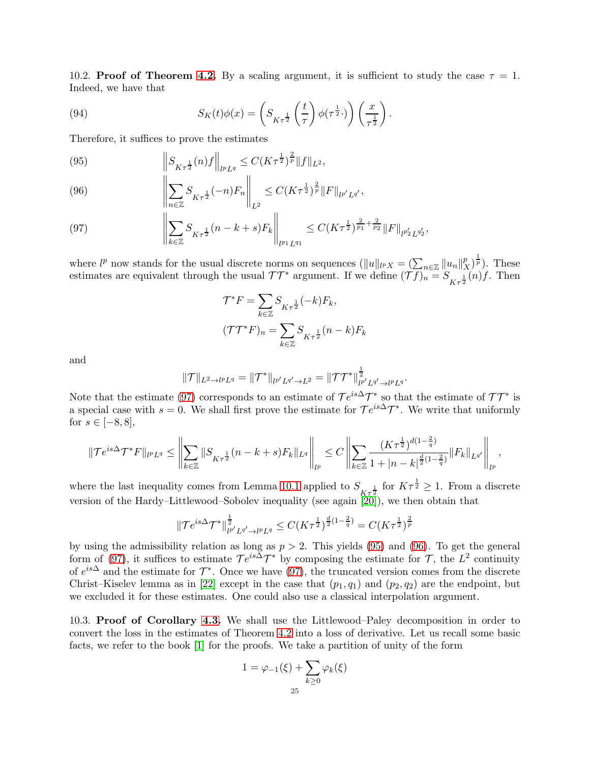<span id="page-24-0"></span>10.2. Proof of Theorem [4.2.](#page-6-0) By a scaling argument, it is sufficient to study the case  $\tau = 1$ . Indeed, we have that

(94) 
$$
S_K(t)\phi(x) = \left(S_{K\tau^{\frac{1}{2}}} \left(\frac{t}{\tau}\right) \phi(\tau^{\frac{1}{2}}\cdot)\right) \left(\frac{x}{\tau^{\frac{1}{2}}}\right).
$$

Therefore, it suffices to prove the estimates

<span id="page-24-3"></span>(95) 
$$
\left\|S_{K\tau^{\frac{1}{2}}}(n)f\right\|_{l^{p}L^{q}} \leq C(K\tau^{\frac{1}{2}})^{\frac{2}{p}}\|f\|_{L^{2}},
$$

<span id="page-24-4"></span>(96) 
$$
\left\| \sum_{n \in \mathbb{Z}} S_{K\tau^{\frac{1}{2}}}(-n) F_n \right\|_{L^2} \leq C (K\tau^{\frac{1}{2}})^{\frac{2}{p}} \|F\|_{l^{p'}L^{q'}},
$$

<span id="page-24-2"></span>(97) 
$$
\left\| \sum_{k \in \mathbb{Z}} S_{K\tau^{\frac{1}{2}}}(n-k+s) F_k \right\|_{l^{p_1}L^{q_1}} \leq C(K\tau^{\frac{1}{2}})^{\frac{2}{p_1} + \frac{2}{p_2}} \|F\|_{l^{p_2'}L^{q_2'}},
$$

where  $l^p$  now stands for the usual discrete norms on sequences  $(||u||_{l^p X} = (\sum_{n \in \mathbb{Z}} ||u_n||_{X}^p)$  $\binom{p}{X}^{\frac{1}{p}}$ . These estimates are equivalent through the usual  $TT^*$  argument. If we define  $(Tf)_{n} = S_{K_{\tau}\frac{1}{2}}(n)f$ . Then

$$
\mathcal{T}^* F = \sum_{k \in \mathbb{Z}} S_{K\tau^{\frac{1}{2}}}(-k) F_k,
$$
  

$$
(\mathcal{T}\mathcal{T}^* F)_n = \sum_{k \in \mathbb{Z}} S_{K\tau^{\frac{1}{2}}}(n-k) F_k
$$

and

$$
\|\mathcal{T}\|_{L^2\to l^pL^q}=\|\mathcal{T}^*\|_{l^{p'}L^{q'}\to L^2}=\|\mathcal{T}\mathcal{T}^*\|_{l^{p'}L^{q'}\to l^pL^q}^{\frac{1}{2}}
$$

.

Note that the estimate [\(97\)](#page-24-2) corresponds to an estimate of  $\mathcal{T}e^{is\Delta}\mathcal{T}^*$  so that the estimate of  $\mathcal{T}\mathcal{T}^*$  is a special case with  $s = 0$ . We shall first prove the estimate for  $\mathcal{T}e^{is\Delta}\mathcal{T}^*$ . We write that uniformly for  $s \in [-8, 8]$ ,

$$
\|\mathcal{T}e^{is\Delta}\mathcal{T}^*F\|_{l^pL^q}\leq \left\|\sum_{k\in\mathbb{Z}}\|S_{K\tau^{\frac{1}{2}}}(n-k+s)F_k\|_{L^q}\right\|_{l^p}\leq C\left\|\sum_{k\in\mathbb{Z}}\frac{(K\tau^{\frac{1}{2}})^{d(1-\frac{2}{q})}}{1+|n-k|^{\frac{d}{2}(1-\frac{2}{q})}}\|F_k\|_{L^{q'}}\right\|_{l^p},
$$

where the last inequality comes from Lemma [10.1](#page-23-1) applied to  $S_{K\tau^{\frac{1}{2}}}$  for  $K\tau^{\frac{1}{2}} \geq 1$ . From a discrete version of the Hardy–Littlewood–Sobolev inequality (see again  $[20]$ ), we then obtain that

$$
\|\mathcal{T}e^{is\Delta}\mathcal{T}^*\|_{l^{p'}L^{q'}\to l^pL^q}^{\frac{1}{2}} \leq C(K\tau^{\frac{1}{2}})^{\frac{d}{2}(1-\frac{2}{q})} = C(K\tau^{\frac{1}{2}})^{\frac{2}{p}}
$$

by using the admissibility relation as long as  $p > 2$ . This yields [\(95\)](#page-24-3) and [\(96\)](#page-24-4). To get the general form of [\(97\)](#page-24-2), it suffices to estimate  $\mathcal{T}e^{is\Delta}\mathcal{T}^*$  by composing the estimate for  $\mathcal{T}$ , the  $L^2$  continuity of  $e^{is\Delta}$  and the estimate for  $\mathcal{T}^*$ . Once we have [\(97\)](#page-24-2), the truncated version comes from the discrete Christ–Kiselev lemma as in [\[22\]](#page-28-8) except in the case that  $(p_1, q_1)$  and  $(p_2, q_2)$  are the endpoint, but we excluded it for these estimates. One could also use a classical interpolation argument.

<span id="page-24-1"></span>10.3. Proof of Corollary [4.3.](#page-6-8) We shall use the Littlewood–Paley decomposition in order to convert the loss in the estimates of Theorem [4.2](#page-6-0) into a loss of derivative. Let us recall some basic facts, we refer to the book [\[1\]](#page-27-6) for the proofs. We take a partition of unity of the form

$$
1 = \varphi_{-1}(\xi) + \sum_{k \ge 0} \varphi_k(\xi)
$$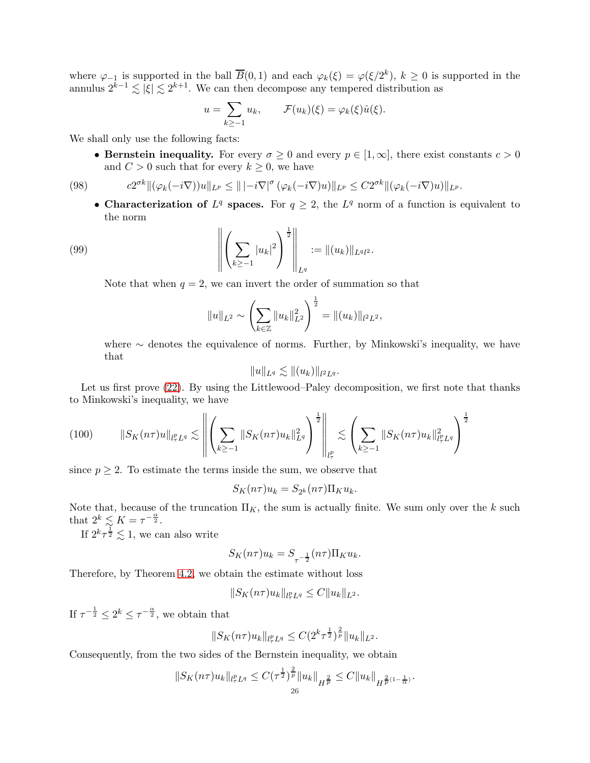where  $\varphi_{-1}$  is supported in the ball  $\overline{B}(0,1)$  and each  $\varphi_k(\xi) = \varphi(\xi/2^k)$ ,  $k \geq 0$  is supported in the annulus  $2^{k-1} \lesssim |\xi| \lesssim 2^{k+1}$ . We can then decompose any tempered distribution as

$$
u = \sum_{k \ge -1} u_k, \qquad \mathcal{F}(u_k)(\xi) = \varphi_k(\xi)\hat{u}(\xi).
$$

We shall only use the following facts:

• Bernstein inequality. For every  $\sigma \geq 0$  and every  $p \in [1,\infty]$ , there exist constants  $c > 0$ and  $C > 0$  such that for every  $k \geq 0$ , we have

(98) 
$$
c2^{\sigma k} \|(\varphi_k(-i\nabla))u\|_{L^p} \leq \| | -i\nabla|^{\sigma} (\varphi_k(-i\nabla)u) \|_{L^p} \leq C2^{\sigma k} \|(\varphi_k(-i\nabla)u)\|_{L^p}.
$$

<span id="page-25-1"></span>• Characterization of  $L^q$  spaces. For  $q \geq 2$ , the  $L^q$  norm of a function is equivalent to the norm

(99) 
$$
\left\| \left( \sum_{k \geq -1} |u_k|^2 \right)^{\frac{1}{2}} \right\|_{L^q} := \|(u_k)\|_{L^q l^2}.
$$

Note that when  $q = 2$ , we can invert the order of summation so that

<span id="page-25-2"></span>
$$
||u||_{L^2} \sim \left(\sum_{k\in\mathbb{Z}} ||u_k||_{L^2}^2\right)^{\frac{1}{2}} = ||(u_k)||_{l^2L^2},
$$

where  $\sim$  denotes the equivalence of norms. Further, by Minkowski's inequality, we have that

$$
||u||_{L^q} \lesssim ||(u_k)||_{l^2L^q}.
$$

Let us first prove [\(22\)](#page-6-5). By using the Littlewood–Paley decomposition, we first note that thanks to Minkowski's inequality, we have

<span id="page-25-0"></span>
$$
(100) \qquad \left\|S_K(n\tau)u\right\|_{l^p_\tau L^q} \lesssim \left\|\left(\sum_{k\geq -1} \|S_K(n\tau)u_k\|_{L^q}^2\right)^{\frac{1}{2}}\right\|_{l^p_\tau} \lesssim \left(\sum_{k\geq -1} \|S_K(n\tau)u_k\|_{l^p_\tau L^q}^2\right)^{\frac{1}{2}}
$$

since  $p \geq 2$ . To estimate the terms inside the sum, we observe that

$$
S_K(n\tau)u_k = S_{2^k}(n\tau)\Pi_K u_k.
$$

Note that, because of the truncation  $\Pi_K$ , the sum is actually finite. We sum only over the k such that  $2^k \lesssim K = \tau^{-\frac{\alpha}{2}}$ .

If  $2^k \tau^{\frac{1}{2}} \lesssim 1$ , we can also write

$$
S_K(n\tau)u_k = S_{\tau^{-\frac{1}{2}}}(n\tau)\Pi_K u_k.
$$

Therefore, by Theorem [4.2,](#page-6-0) we obtain the estimate without loss

$$
||S_K(n\tau)u_k||_{l^p_\tau L^q} \leq C||u_k||_{L^2}.
$$

If  $\tau^{-\frac{1}{2}} \leq 2^k \leq \tau^{-\frac{\alpha}{2}}$ , we obtain that

$$
||S_K(n\tau)u_k||_{l^p_\tau L^q} \leq C(2^k\tau^{\frac{1}{2}})^{\frac{2}{p}}||u_k||_{L^2}.
$$

Consequently, from the two sides of the Bernstein inequality, we obtain

$$
||S_K(n\tau)u_k||_{l^p_\tau L^q} \leq C(\tau^{\frac{1}{2}})^{\frac{2}{p}}||u_k||_{H^{\frac{2}{p}}} \leq C||u_k||_{H^{\frac{2}{p}(1-\frac{1}{\alpha})}}.
$$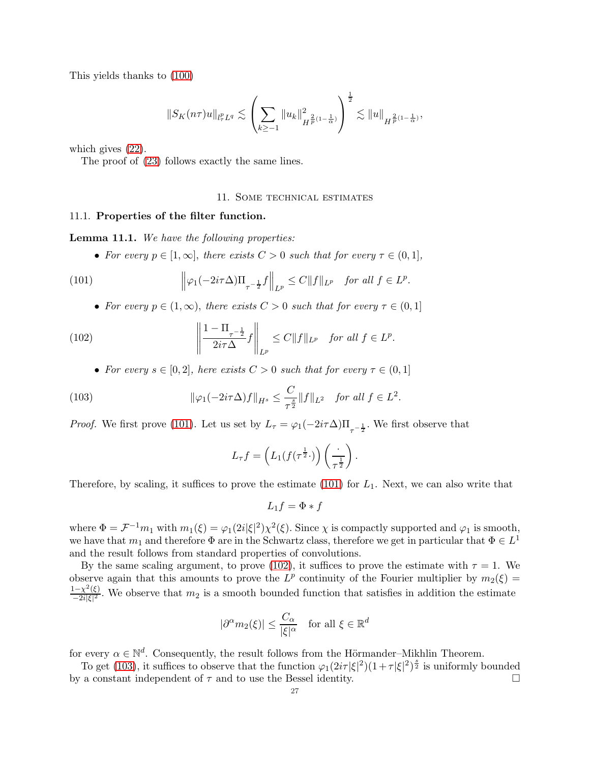This yields thanks to [\(100\)](#page-25-0)

$$
||S_K(n\tau)u||_{l^p_\tau L^q} \lesssim \left(\sum_{k\geq -1} ||u_k||^2_{H^{\frac{2}{p}(1-\frac{1}{\alpha})}}\right)^{\frac{1}{2}} \lesssim ||u||_{H^{\frac{2}{p}(1-\frac{1}{\alpha})}},
$$

which gives [\(22\)](#page-6-5).

The proof of [\(23\)](#page-6-9) follows exactly the same lines.

#### <span id="page-26-3"></span>11. Some technical estimates

### 11.1. Properties of the filter function.

<span id="page-26-0"></span>Lemma 11.1. *We have the following properties:*

• For every  $p \in [1,\infty]$ , there exists  $C > 0$  such that for every  $\tau \in (0,1]$ ,

(101) 
$$
\left\|\varphi_1(-2i\tau\Delta)\Pi_{\tau^{-\frac{1}{2}}}f\right\|_{L^p} \leq C\|f\|_{L^p} \text{ for all } f \in L^p.
$$

• For every  $p \in (1,\infty)$ , there exists  $C > 0$  such that for every  $\tau \in (0,1]$ 

(102) 
$$
\left\|\frac{1-\Pi_{\tau^{-\frac{1}{2}}}}{2i\tau\Delta}f\right\|_{L^p} \leq C\|f\|_{L^p} \text{ for all } f \in L^p.
$$

<span id="page-26-1"></span>• For every  $s \in [0,2]$ , here exists  $C > 0$  such that for every  $\tau \in (0,1]$ 

(103) 
$$
\|\varphi_1(-2i\tau\Delta)f\|_{H^s} \leq \frac{C}{\tau^{\frac{s}{2}}}\|f\|_{L^2} \text{ for all } f \in L^2.
$$

*Proof.* We first prove [\(101\)](#page-26-3). Let us set by  $L_{\tau} = \varphi_1(-2i\tau\Delta)\Pi_{\tau-\frac{1}{2}}$ . We first observe that

<span id="page-26-2"></span>
$$
L_{\tau}f = \left(L_1(f(\tau^{\frac{1}{2}}\cdot))\left(\frac{\cdot}{\tau^{\frac{1}{2}}}\right)\right).
$$

Therefore, by scaling, it suffices to prove the estimate  $(101)$  for  $L_1$ . Next, we can also write that

$$
L_1 f = \Phi * f
$$

where  $\Phi = \mathcal{F}^{-1}m_1$  with  $m_1(\xi) = \varphi_1(2i|\xi|^2)\chi^2(\xi)$ . Since  $\chi$  is compactly supported and  $\varphi_1$  is smooth, we have that  $m_1$  and therefore  $\Phi$  are in the Schwartz class, therefore we get in particular that  $\Phi \in L^1$ and the result follows from standard properties of convolutions.

By the same scaling argument, to prove [\(102\)](#page-26-1), it suffices to prove the estimate with  $\tau = 1$ . We observe again that this amounts to prove the  $L^p$  continuity of the Fourier multiplier by  $m_2(\xi)$  =  $1-\chi^2(\xi)$  $\frac{(-\chi^2(\xi)}{-2i|\xi|^2}$ . We observe that  $m_2$  is a smooth bounded function that satisfies in addition the estimate

$$
|\partial^{\alpha}m_2(\xi)| \le \frac{C_{\alpha}}{|\xi|^{\alpha}} \quad \text{for all } \xi \in \mathbb{R}^d
$$

for every  $\alpha \in \mathbb{N}^d$ . Consequently, the result follows from the Hörmander–Mikhlin Theorem.

To get [\(103\)](#page-26-2), it suffices to observe that the function  $\varphi_1(2i\tau|\xi|^2)(1+\tau|\xi|^2)^{\frac{s}{2}}$  is uniformly bounded by a constant independent of  $\tau$  and to use the Bessel identity.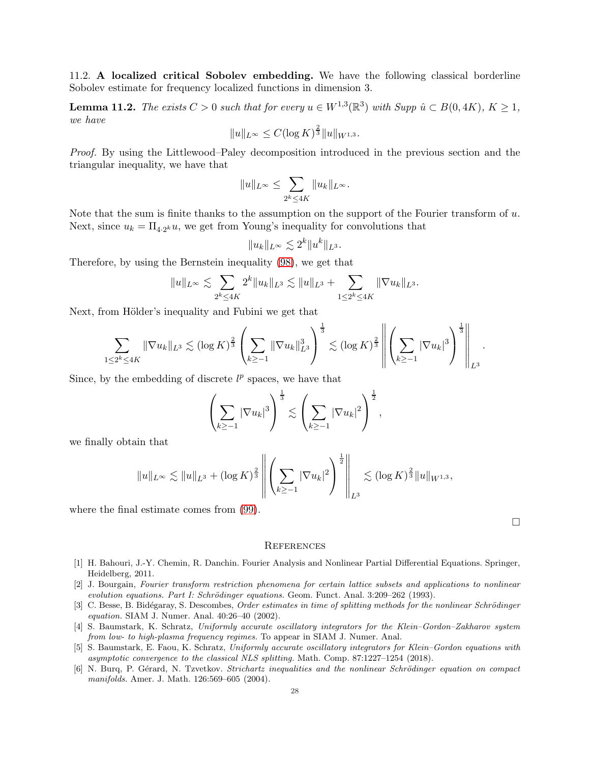11.2. A localized critical Sobolev embedding. We have the following classical borderline Sobolev estimate for frequency localized functions in dimension 3.

<span id="page-27-5"></span>**Lemma 11.2.** The exists  $C > 0$  such that for every  $u \in W^{1,3}(\mathbb{R}^3)$  with Supp  $\hat{u} \subset B(0, 4K)$ ,  $K \ge 1$ , *we have*  $\overline{2}$ 

$$
||u||_{L^{\infty}} \leq C(\log K)^{\frac{2}{3}}||u||_{W^{1,3}}.
$$

*Proof.* By using the Littlewood–Paley decomposition introduced in the previous section and the triangular inequality, we have that

$$
||u||_{L^{\infty}} \leq \sum_{2^{k} \leq 4K} ||u_{k}||_{L^{\infty}}.
$$

Note that the sum is finite thanks to the assumption on the support of the Fourier transform of  $u$ . Next, since  $u_k = \prod_{4 \cdot 2^k} u$ , we get from Young's inequality for convolutions that

$$
||u_k||_{L^{\infty}} \lesssim 2^k ||u^k||_{L^3}.
$$

Therefore, by using the Bernstein inequality [\(98\)](#page-25-1), we get that

$$
||u||_{L^{\infty}} \lesssim \sum_{2^{k} \leq 4K} 2^{k} ||u_{k}||_{L^{3}} \lesssim ||u||_{L^{3}} + \sum_{1 \leq 2^{k} \leq 4K} ||\nabla u_{k}||_{L^{3}}.
$$

Next, from Hölder's inequality and Fubini we get that

$$
\sum_{1 \leq 2^k \leq 4K} \|\nabla u_k\|_{L^3} \lesssim (\log K)^{\frac{2}{3}} \left( \sum_{k \geq -1} \|\nabla u_k\|_{L^3}^3 \right)^{\frac{1}{3}} \lesssim (\log K)^{\frac{2}{3}} \left\| \left( \sum_{k \geq -1} |\nabla u_k|^3 \right)^{\frac{1}{3}} \right\|_{L^3}.
$$

Since, by the embedding of discrete  $l^p$  spaces, we have that

$$
\left(\sum_{k\geq -1}|\nabla u_k|^3\right)^{\frac{1}{3}}\lesssim \left(\sum_{k\geq -1}|\nabla u_k|^2\right)^{\frac{1}{2}},
$$

we finally obtain that

$$
||u||_{L^{\infty}} \lesssim ||u||_{L^{3}} + (\log K)^{\frac{2}{3}} \left\| \left( \sum_{k \geq -1} |\nabla u_{k}|^{2} \right)^{\frac{1}{2}} \right\|_{L^{3}} \lesssim (\log K)^{\frac{2}{3}} ||u||_{W^{1,3}},
$$

where the final estimate comes from [\(99\)](#page-25-2).

 $\Box$ 

#### **REFERENCES**

- <span id="page-27-6"></span>[1] H. Bahouri, J.-Y. Chemin, R. Danchin. Fourier Analysis and Nonlinear Partial Differential Equations. Springer, Heidelberg, 2011.
- <span id="page-27-3"></span>[2] J. Bourgain, *Fourier transform restriction phenomena for certain lattice subsets and applications to nonlinear evolution equations. Part I: Schrödinger equations.* Geom. Funct. Anal. 3:209–262 (1993).
- <span id="page-27-0"></span>[3] C. Besse, B. Bidégaray, S. Descombes, *Order estimates in time of splitting methods for the nonlinear Schrödinger equation.* SIAM J. Numer. Anal. 40:26–40 (2002).
- <span id="page-27-1"></span>[4] S. Baumstark, K. Schratz, *Uniformly accurate oscillatory integrators for the Klein–Gordon–Zakharov system from low- to high-plasma frequency regimes.* To appear in SIAM J. Numer. Anal.
- <span id="page-27-2"></span>[5] S. Baumstark, E. Faou, K. Schratz, *Uniformly accurate oscillatory integrators for Klein–Gordon equations with asymptotic convergence to the classical NLS splitting.* Math. Comp. 87:1227–1254 (2018).
- <span id="page-27-4"></span>[6] N. Burq, P. Gérard, N. Tzvetkov. *Strichartz inequalities and the nonlinear Schrödinger equation on compact manifolds.* Amer. J. Math. 126:569–605 (2004).